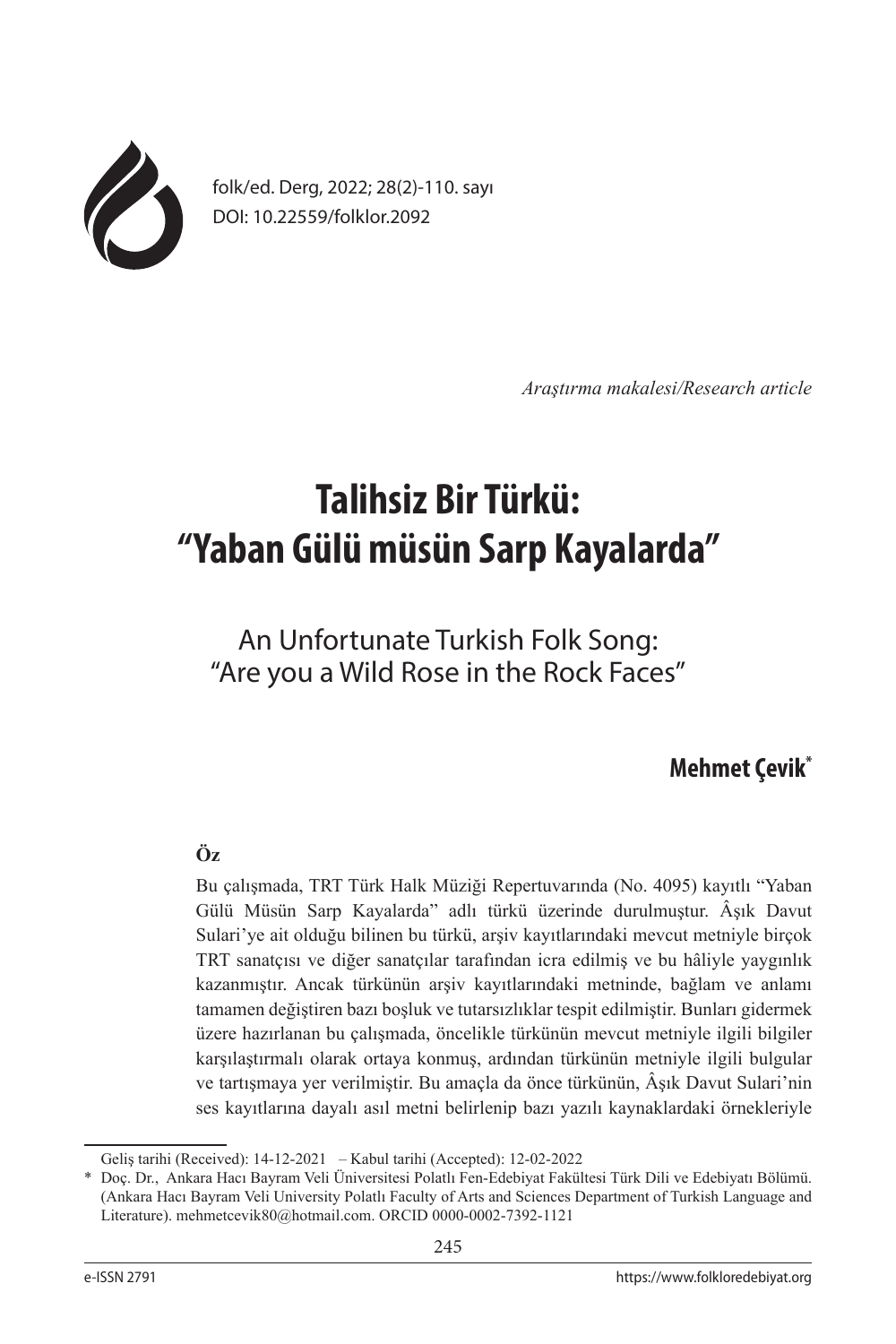

folk/ed. Derg, 2022; 28(2)-110. sayı DOI: 10.22559/folklor.2092

*Araştırma makalesi/Research article*

# **Talihsiz Bir Türkü: "Yaban Gülü müsün Sarp Kayalarda"**

# An Unfortunate Turkish Folk Song: "Are you a Wild Rose in the Rock Faces"

## **Mehmet Çevik\***

## **Öz**

Bu çalışmada, TRT Türk Halk Müziği Repertuvarında (No. 4095) kayıtlı "Yaban Gülü Müsün Sarp Kayalarda" adlı türkü üzerinde durulmuştur. Âşık Davut Sulari'ye ait olduğu bilinen bu türkü, arşiv kayıtlarındaki mevcut metniyle birçok TRT sanatçısı ve diğer sanatçılar tarafından icra edilmiş ve bu hâliyle yaygınlık kazanmıştır. Ancak türkünün arşiv kayıtlarındaki metninde, bağlam ve anlamı tamamen değiştiren bazı boşluk ve tutarsızlıklar tespit edilmiştir. Bunları gidermek üzere hazırlanan bu çalışmada, öncelikle türkünün mevcut metniyle ilgili bilgiler karşılaştırmalı olarak ortaya konmuş, ardından türkünün metniyle ilgili bulgular ve tartışmaya yer verilmiştir. Bu amaçla da önce türkünün, Âşık Davut Sulari'nin ses kayıtlarına dayalı asıl metni belirlenip bazı yazılı kaynaklardaki örnekleriyle

Geliş tarihi (Received): 14-12-2021 – Kabul tarihi (Accepted): 12-02-2022

<sup>\*</sup> Doç. Dr., Ankara Hacı Bayram Veli Üniversitesi Polatlı Fen-Edebiyat Fakültesi Türk Dili ve Edebiyatı Bölümü. (Ankara Hacı Bayram Veli University Polatlı Faculty of Arts and Sciences Department of Turkish Language and Literature). mehmetcevik80@hotmail.com. ORCID 0000-0002-7392-1121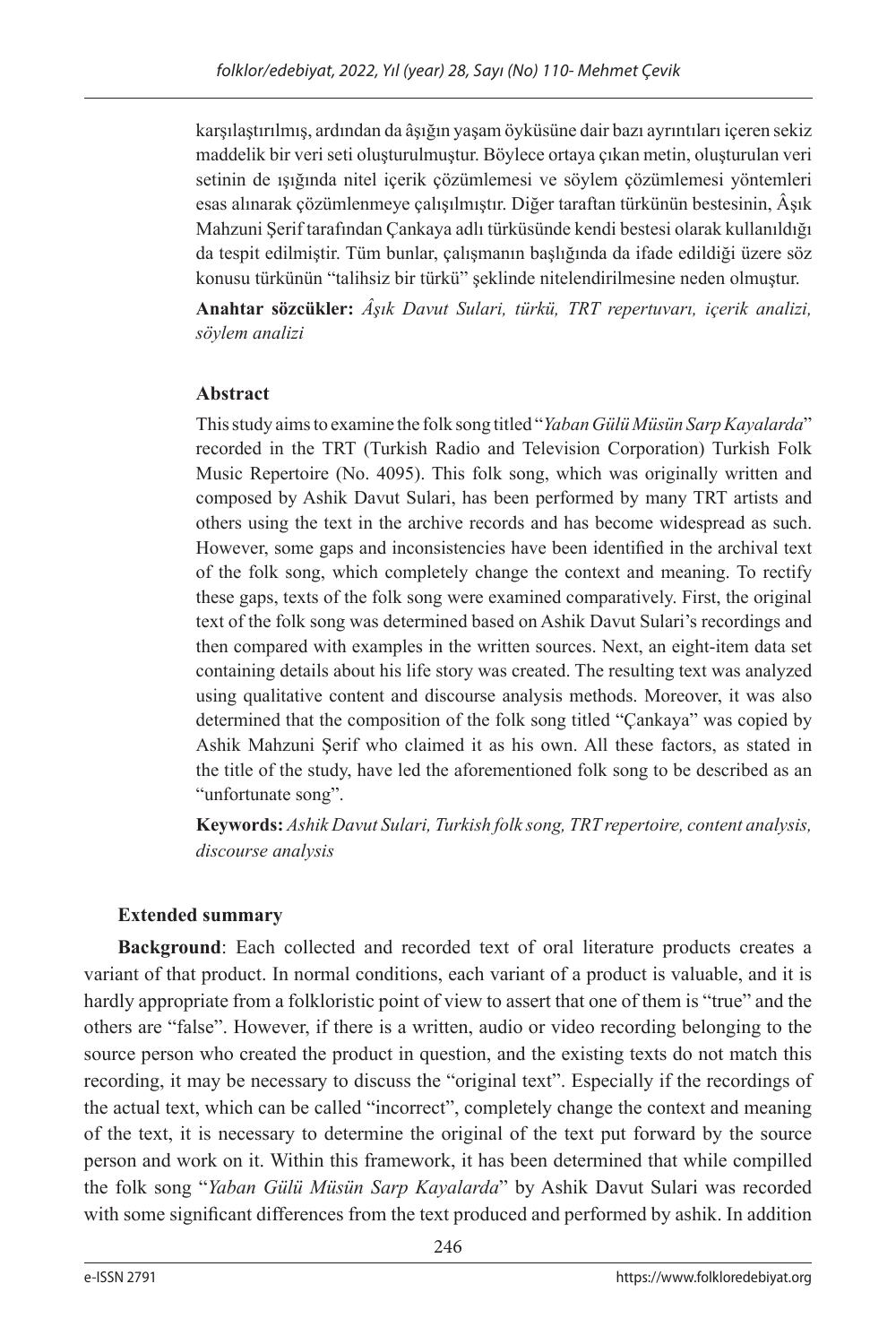karşılaştırılmış, ardından da âşığın yaşam öyküsüne dair bazı ayrıntıları içeren sekiz maddelik bir veri seti oluşturulmuştur. Böylece ortaya çıkan metin, oluşturulan veri setinin de ışığında nitel içerik çözümlemesi ve söylem çözümlemesi yöntemleri esas alınarak çözümlenmeye çalışılmıştır. Diğer taraftan türkünün bestesinin, Âşık Mahzuni Şerif tarafından Çankaya adlı türküsünde kendi bestesi olarak kullanıldığı da tespit edilmiştir. Tüm bunlar, çalışmanın başlığında da ifade edildiği üzere söz konusu türkünün "talihsiz bir türkü" şeklinde nitelendirilmesine neden olmuştur.

**Anahtar sözcükler:** *Âşık Davut Sulari, türkü, TRT repertuvarı, içerik analizi, söylem analizi*

## **Abstract**

This study aims to examine the folk song titled "*Yaban Gülü Müsün Sarp Kayalarda*" recorded in the TRT (Turkish Radio and Television Corporation) Turkish Folk Music Repertoire (No. 4095). This folk song, which was originally written and composed by Ashik Davut Sulari, has been performed by many TRT artists and others using the text in the archive records and has become widespread as such. However, some gaps and inconsistencies have been identified in the archival text of the folk song, which completely change the context and meaning. To rectify these gaps, texts of the folk song were examined comparatively. First, the original text of the folk song was determined based on Ashik Davut Sulari's recordings and then compared with examples in the written sources. Next, an eight-item data set containing details about his life story was created. The resulting text was analyzed using qualitative content and discourse analysis methods. Moreover, it was also determined that the composition of the folk song titled "Çankaya" was copied by Ashik Mahzuni Şerif who claimed it as his own. All these factors, as stated in the title of the study, have led the aforementioned folk song to be described as an "unfortunate song".

**Keywords:** *Ashik Davut Sulari, Turkish folk song, TRT repertoire, content analysis, discourse analysis*

## **Extended summary**

**Background**: Each collected and recorded text of oral literature products creates a variant of that product. In normal conditions, each variant of a product is valuable, and it is hardly appropriate from a folkloristic point of view to assert that one of them is "true" and the others are "false". However, if there is a written, audio or video recording belonging to the source person who created the product in question, and the existing texts do not match this recording, it may be necessary to discuss the "original text". Especially if the recordings of the actual text, which can be called "incorrect", completely change the context and meaning of the text, it is necessary to determine the original of the text put forward by the source person and work on it. Within this framework, it has been determined that while compilled the folk song "*Yaban Gülü Müsün Sarp Kayalarda*" by Ashik Davut Sulari was recorded with some significant differences from the text produced and performed by ashik. In addition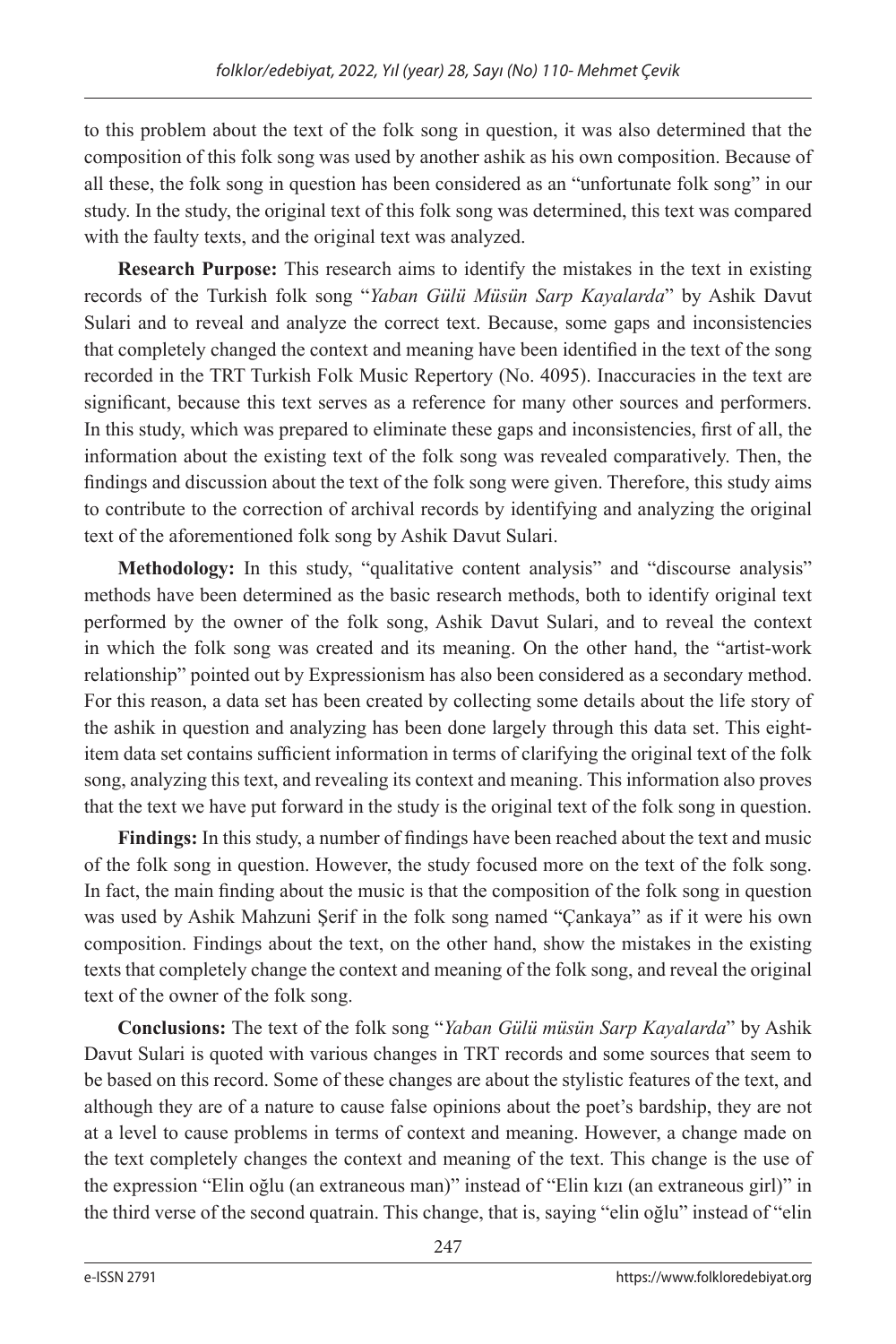to this problem about the text of the folk song in question, it was also determined that the composition of this folk song was used by another ashik as his own composition. Because of all these, the folk song in question has been considered as an "unfortunate folk song" in our study. In the study, the original text of this folk song was determined, this text was compared with the faulty texts, and the original text was analyzed.

**Research Purpose:** This research aims to identify the mistakes in the text in existing records of the Turkish folk song "*Yaban Gülü Müsün Sarp Kayalarda*" by Ashik Davut Sulari and to reveal and analyze the correct text. Because, some gaps and inconsistencies that completely changed the context and meaning have been identified in the text of the song recorded in the TRT Turkish Folk Music Repertory (No. 4095). Inaccuracies in the text are significant, because this text serves as a reference for many other sources and performers. In this study, which was prepared to eliminate these gaps and inconsistencies, first of all, the information about the existing text of the folk song was revealed comparatively. Then, the findings and discussion about the text of the folk song were given. Therefore, this study aims to contribute to the correction of archival records by identifying and analyzing the original text of the aforementioned folk song by Ashik Davut Sulari.

**Methodology:** In this study, "qualitative content analysis" and "discourse analysis" methods have been determined as the basic research methods, both to identify original text performed by the owner of the folk song, Ashik Davut Sulari, and to reveal the context in which the folk song was created and its meaning. On the other hand, the "artist-work relationship" pointed out by Expressionism has also been considered as a secondary method. For this reason, a data set has been created by collecting some details about the life story of the ashik in question and analyzing has been done largely through this data set. This eightitem data set contains sufficient information in terms of clarifying the original text of the folk song, analyzing this text, and revealing its context and meaning. This information also proves that the text we have put forward in the study is the original text of the folk song in question.

**Findings:** In this study, a number of findings have been reached about the text and music of the folk song in question. However, the study focused more on the text of the folk song. In fact, the main finding about the music is that the composition of the folk song in question was used by Ashik Mahzuni Şerif in the folk song named "Çankaya" as if it were his own composition. Findings about the text, on the other hand, show the mistakes in the existing texts that completely change the context and meaning of the folk song, and reveal the original text of the owner of the folk song.

**Conclusions:** The text of the folk song "*Yaban Gülü müsün Sarp Kayalarda*" by Ashik Davut Sulari is quoted with various changes in TRT records and some sources that seem to be based on this record. Some of these changes are about the stylistic features of the text, and although they are of a nature to cause false opinions about the poet's bardship, they are not at a level to cause problems in terms of context and meaning. However, a change made on the text completely changes the context and meaning of the text. This change is the use of the expression "Elin oğlu (an extraneous man)" instead of "Elin kızı (an extraneous girl)" in the third verse of the second quatrain. This change, that is, saying "elin oğlu" instead of "elin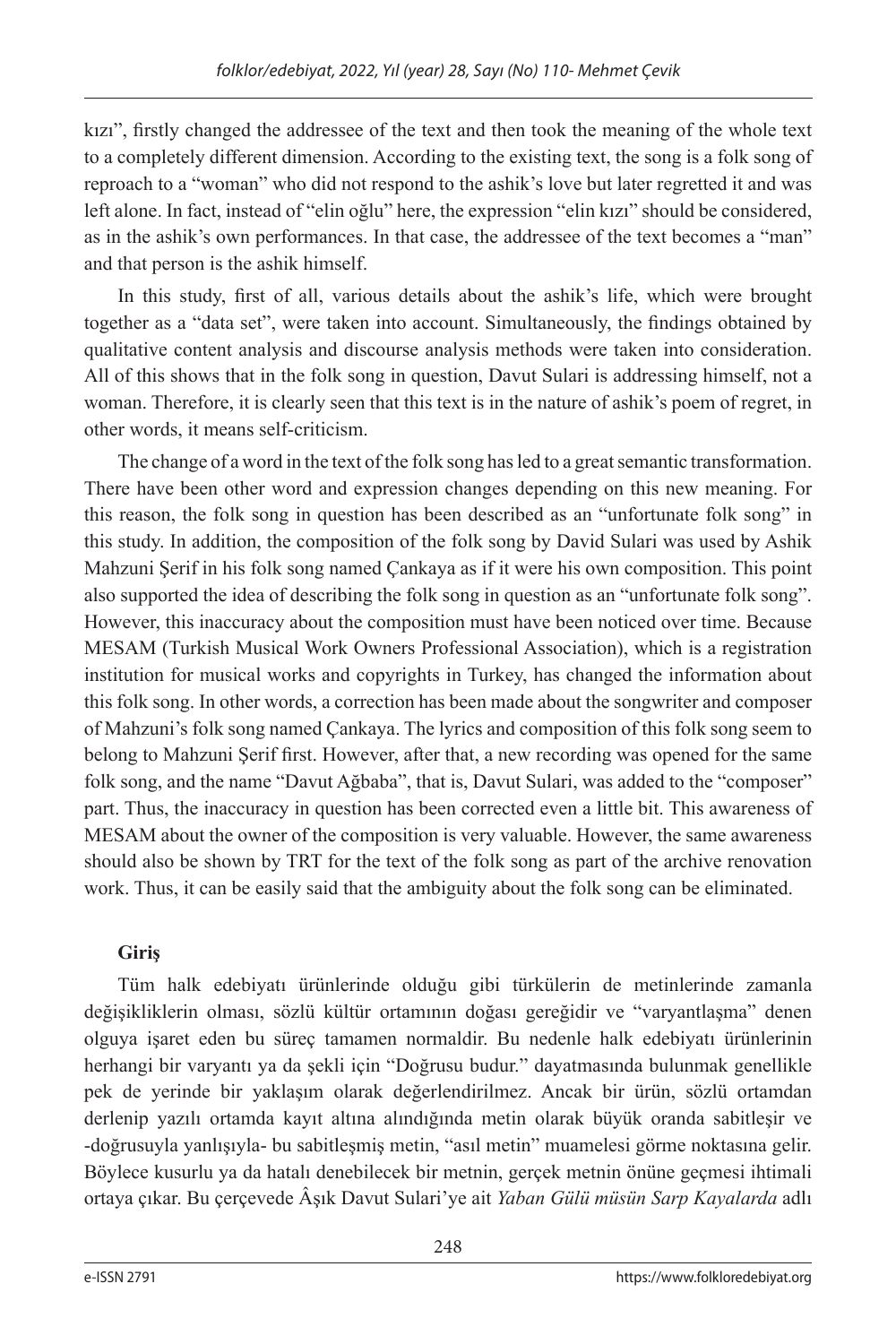kızı", firstly changed the addressee of the text and then took the meaning of the whole text to a completely different dimension. According to the existing text, the song is a folk song of reproach to a "woman" who did not respond to the ashik's love but later regretted it and was left alone. In fact, instead of "elin oğlu" here, the expression "elin kızı" should be considered, as in the ashik's own performances. In that case, the addressee of the text becomes a "man" and that person is the ashik himself.

In this study, first of all, various details about the ashik's life, which were brought together as a "data set", were taken into account. Simultaneously, the findings obtained by qualitative content analysis and discourse analysis methods were taken into consideration. All of this shows that in the folk song in question, Davut Sulari is addressing himself, not a woman. Therefore, it is clearly seen that this text is in the nature of ashik's poem of regret, in other words, it means self-criticism.

The change of a word in the text of the folk song has led to a great semantic transformation. There have been other word and expression changes depending on this new meaning. For this reason, the folk song in question has been described as an "unfortunate folk song" in this study. In addition, the composition of the folk song by David Sulari was used by Ashik Mahzuni Şerif in his folk song named Çankaya as if it were his own composition. This point also supported the idea of describing the folk song in question as an "unfortunate folk song". However, this inaccuracy about the composition must have been noticed over time. Because MESAM (Turkish Musical Work Owners Professional Association), which is a registration institution for musical works and copyrights in Turkey, has changed the information about this folk song. In other words, a correction has been made about the songwriter and composer of Mahzuni's folk song named Çankaya. The lyrics and composition of this folk song seem to belong to Mahzuni Şerif first. However, after that, a new recording was opened for the same folk song, and the name "Davut Ağbaba", that is, Davut Sulari, was added to the "composer" part. Thus, the inaccuracy in question has been corrected even a little bit. This awareness of MESAM about the owner of the composition is very valuable. However, the same awareness should also be shown by TRT for the text of the folk song as part of the archive renovation work. Thus, it can be easily said that the ambiguity about the folk song can be eliminated.

## **Giriş**

Tüm halk edebiyatı ürünlerinde olduğu gibi türkülerin de metinlerinde zamanla değişikliklerin olması, sözlü kültür ortamının doğası gereğidir ve "varyantlaşma" denen olguya işaret eden bu süreç tamamen normaldir. Bu nedenle halk edebiyatı ürünlerinin herhangi bir varyantı ya da şekli için "Doğrusu budur." dayatmasında bulunmak genellikle pek de yerinde bir yaklaşım olarak değerlendirilmez. Ancak bir ürün, sözlü ortamdan derlenip yazılı ortamda kayıt altına alındığında metin olarak büyük oranda sabitleşir ve -doğrusuyla yanlışıyla- bu sabitleşmiş metin, "asıl metin" muamelesi görme noktasına gelir. Böylece kusurlu ya da hatalı denebilecek bir metnin, gerçek metnin önüne geçmesi ihtimali ortaya çıkar. Bu çerçevede Âşık Davut Sulari'ye ait *Yaban Gülü müsün Sarp Kayalarda* adlı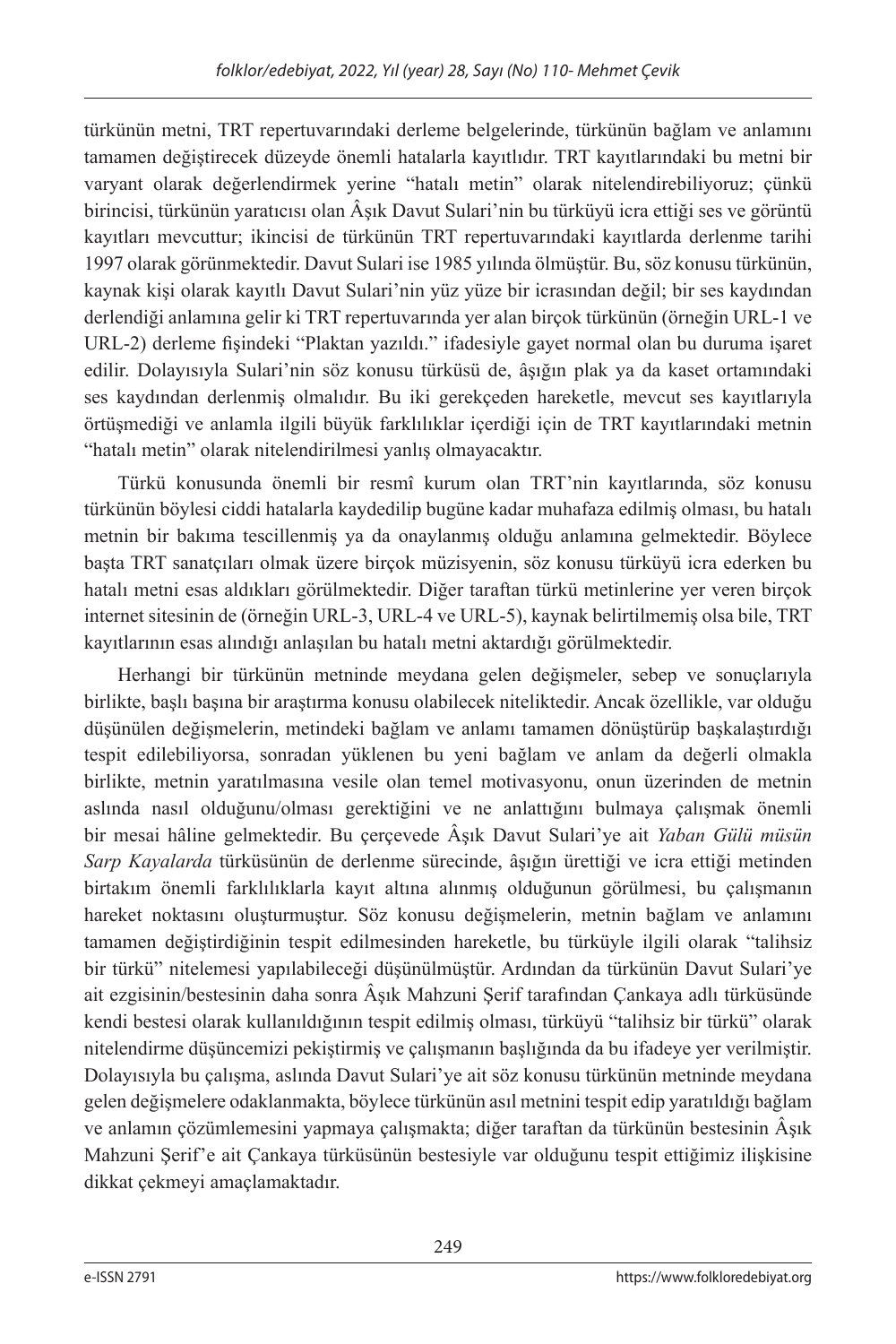türkünün metni, TRT repertuvarındaki derleme belgelerinde, türkünün bağlam ve anlamını tamamen değiştirecek düzeyde önemli hatalarla kayıtlıdır. TRT kayıtlarındaki bu metni bir varyant olarak değerlendirmek yerine "hatalı metin" olarak nitelendirebiliyoruz; çünkü birincisi, türkünün yaratıcısı olan Âşık Davut Sulari'nin bu türküyü icra ettiği ses ve görüntü kayıtları mevcuttur; ikincisi de türkünün TRT repertuvarındaki kayıtlarda derlenme tarihi 1997 olarak görünmektedir. Davut Sulari ise 1985 yılında ölmüştür. Bu, söz konusu türkünün, kaynak kişi olarak kayıtlı Davut Sulari'nin yüz yüze bir icrasından değil; bir ses kaydından derlendiği anlamına gelir ki TRT repertuvarında yer alan birçok türkünün (örneğin URL-1 ve URL-2) derleme fişindeki "Plaktan yazıldı." ifadesiyle gayet normal olan bu duruma işaret edilir. Dolayısıyla Sulari'nin söz konusu türküsü de, âşığın plak ya da kaset ortamındaki ses kaydından derlenmiş olmalıdır. Bu iki gerekçeden hareketle, mevcut ses kayıtlarıyla örtüşmediği ve anlamla ilgili büyük farklılıklar içerdiği için de TRT kayıtlarındaki metnin "hatalı metin" olarak nitelendirilmesi yanlış olmayacaktır.

Türkü konusunda önemli bir resmî kurum olan TRT'nin kayıtlarında, söz konusu türkünün böylesi ciddi hatalarla kaydedilip bugüne kadar muhafaza edilmiş olması, bu hatalı metnin bir bakıma tescillenmiş ya da onaylanmış olduğu anlamına gelmektedir. Böylece başta TRT sanatçıları olmak üzere birçok müzisyenin, söz konusu türküyü icra ederken bu hatalı metni esas aldıkları görülmektedir. Diğer taraftan türkü metinlerine yer veren birçok internet sitesinin de (örneğin URL-3, URL-4 ve URL-5), kaynak belirtilmemiş olsa bile, TRT kayıtlarının esas alındığı anlaşılan bu hatalı metni aktardığı görülmektedir.

Herhangi bir türkünün metninde meydana gelen değişmeler, sebep ve sonuçlarıyla birlikte, başlı başına bir araştırma konusu olabilecek niteliktedir. Ancak özellikle, var olduğu düşünülen değişmelerin, metindeki bağlam ve anlamı tamamen dönüştürüp başkalaştırdığı tespit edilebiliyorsa, sonradan yüklenen bu yeni bağlam ve anlam da değerli olmakla birlikte, metnin yaratılmasına vesile olan temel motivasyonu, onun üzerinden de metnin aslında nasıl olduğunu/olması gerektiğini ve ne anlattığını bulmaya çalışmak önemli bir mesai hâline gelmektedir. Bu çerçevede Âşık Davut Sulari'ye ait *Yaban Gülü müsün Sarp Kayalarda* türküsünün de derlenme sürecinde, âşığın ürettiği ve icra ettiği metinden birtakım önemli farklılıklarla kayıt altına alınmış olduğunun görülmesi, bu çalışmanın hareket noktasını oluşturmuştur. Söz konusu değişmelerin, metnin bağlam ve anlamını tamamen değiştirdiğinin tespit edilmesinden hareketle, bu türküyle ilgili olarak "talihsiz bir türkü" nitelemesi yapılabileceği düşünülmüştür. Ardından da türkünün Davut Sulari'ye ait ezgisinin/bestesinin daha sonra Âşık Mahzuni Şerif tarafından Çankaya adlı türküsünde kendi bestesi olarak kullanıldığının tespit edilmiş olması, türküyü "talihsiz bir türkü" olarak nitelendirme düşüncemizi pekiştirmiş ve çalışmanın başlığında da bu ifadeye yer verilmiştir. Dolayısıyla bu çalışma, aslında Davut Sulari'ye ait söz konusu türkünün metninde meydana gelen değişmelere odaklanmakta, böylece türkünün asıl metnini tespit edip yaratıldığı bağlam ve anlamın çözümlemesini yapmaya çalışmakta; diğer taraftan da türkünün bestesinin Âşık Mahzuni Şerif'e ait Çankaya türküsünün bestesiyle var olduğunu tespit ettiğimiz ilişkisine dikkat çekmeyi amaçlamaktadır.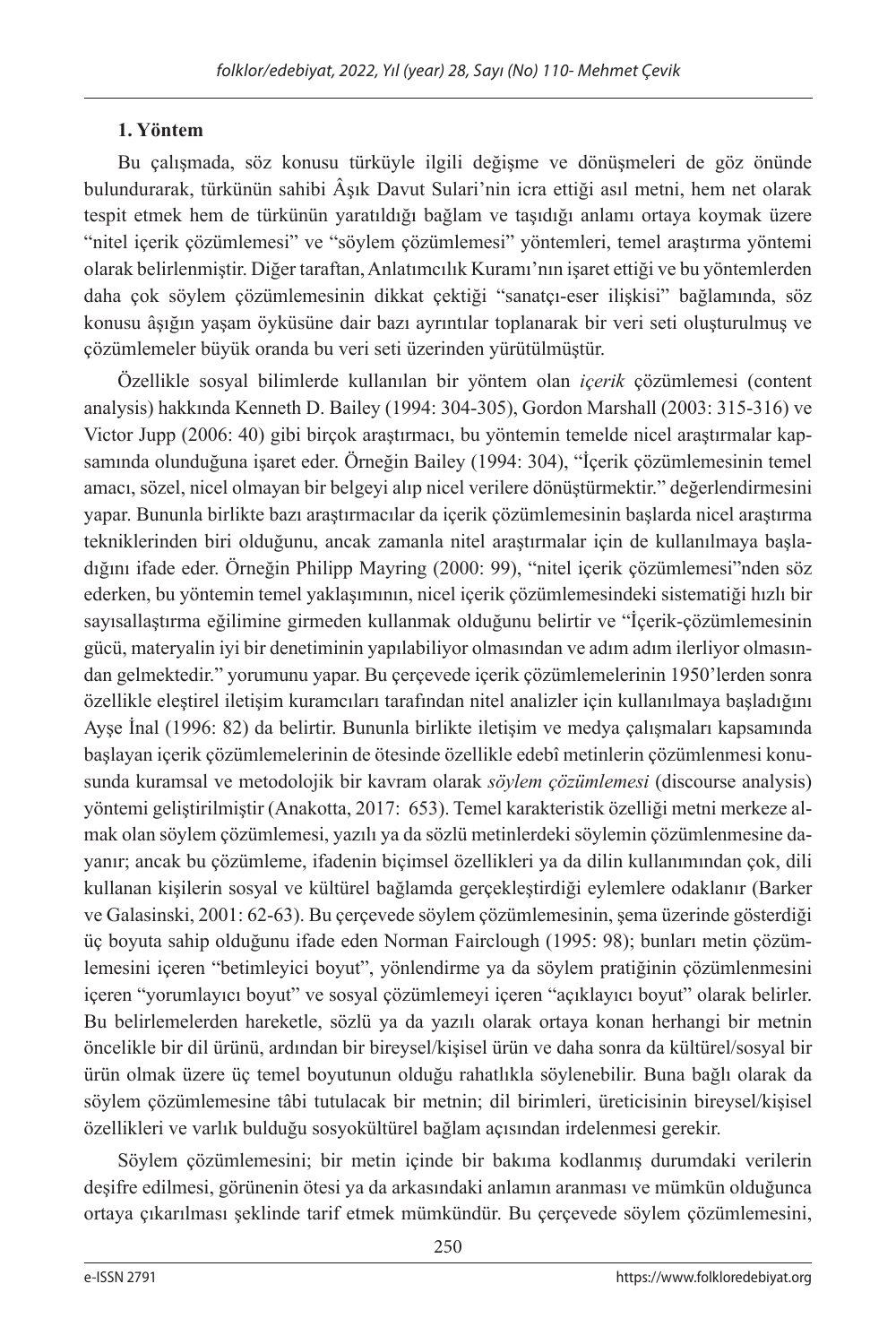## **1. Yöntem**

Bu çalışmada, söz konusu türküyle ilgili değişme ve dönüşmeleri de göz önünde bulundurarak, türkünün sahibi Âşık Davut Sulari'nin icra ettiği asıl metni, hem net olarak tespit etmek hem de türkünün yaratıldığı bağlam ve taşıdığı anlamı ortaya koymak üzere "nitel içerik çözümlemesi" ve "söylem çözümlemesi" yöntemleri, temel araştırma yöntemi olarak belirlenmiştir. Diğer taraftan, Anlatımcılık Kuramı'nın işaret ettiği ve bu yöntemlerden daha çok söylem çözümlemesinin dikkat çektiği "sanatçı-eser ilişkisi" bağlamında, söz konusu âşığın yaşam öyküsüne dair bazı ayrıntılar toplanarak bir veri seti oluşturulmuş ve çözümlemeler büyük oranda bu veri seti üzerinden yürütülmüştür.

Özellikle sosyal bilimlerde kullanılan bir yöntem olan *içerik* çözümlemesi (content analysis) hakkında Kenneth D. Bailey (1994: 304-305), Gordon Marshall (2003: 315-316) ve Victor Jupp (2006: 40) gibi birçok araştırmacı, bu yöntemin temelde nicel araştırmalar kapsamında olunduğuna işaret eder. Örneğin Bailey (1994: 304), "İçerik çözümlemesinin temel amacı, sözel, nicel olmayan bir belgeyi alıp nicel verilere dönüştürmektir." değerlendirmesini yapar. Bununla birlikte bazı araştırmacılar da içerik çözümlemesinin başlarda nicel araştırma tekniklerinden biri olduğunu, ancak zamanla nitel araştırmalar için de kullanılmaya başladığını ifade eder. Örneğin Philipp Mayring (2000: 99), "nitel içerik çözümlemesi"nden söz ederken, bu yöntemin temel yaklaşımının, nicel içerik çözümlemesindeki sistematiği hızlı bir sayısallaştırma eğilimine girmeden kullanmak olduğunu belirtir ve "İçerik-çözümlemesinin gücü, materyalin iyi bir denetiminin yapılabiliyor olmasından ve adım adım ilerliyor olmasından gelmektedir." yorumunu yapar. Bu çerçevede içerik çözümlemelerinin 1950'lerden sonra özellikle eleştirel iletişim kuramcıları tarafından nitel analizler için kullanılmaya başladığını Ayşe İnal (1996: 82) da belirtir. Bununla birlikte iletişim ve medya çalışmaları kapsamında başlayan içerik çözümlemelerinin de ötesinde özellikle edebî metinlerin çözümlenmesi konusunda kuramsal ve metodolojik bir kavram olarak *söylem çözümlemesi* (discourse analysis) yöntemi geliştirilmiştir (Anakotta, 2017: 653). Temel karakteristik özelliği metni merkeze almak olan söylem çözümlemesi, yazılı ya da sözlü metinlerdeki söylemin çözümlenmesine dayanır; ancak bu çözümleme, ifadenin biçimsel özellikleri ya da dilin kullanımından çok, dili kullanan kişilerin sosyal ve kültürel bağlamda gerçekleştirdiği eylemlere odaklanır (Barker ve Galasinski, 2001: 62-63). Bu çerçevede söylem çözümlemesinin, şema üzerinde gösterdiği üç boyuta sahip olduğunu ifade eden Norman Fairclough (1995: 98); bunları metin çözümlemesini içeren "betimleyici boyut", yönlendirme ya da söylem pratiğinin çözümlenmesini içeren "yorumlayıcı boyut" ve sosyal çözümlemeyi içeren "açıklayıcı boyut" olarak belirler. Bu belirlemelerden hareketle, sözlü ya da yazılı olarak ortaya konan herhangi bir metnin öncelikle bir dil ürünü, ardından bir bireysel/kişisel ürün ve daha sonra da kültürel/sosyal bir ürün olmak üzere üç temel boyutunun olduğu rahatlıkla söylenebilir. Buna bağlı olarak da söylem çözümlemesine tâbi tutulacak bir metnin; dil birimleri, üreticisinin bireysel/kişisel özellikleri ve varlık bulduğu sosyokültürel bağlam açısından irdelenmesi gerekir.

Söylem çözümlemesini; bir metin içinde bir bakıma kodlanmış durumdaki verilerin deşifre edilmesi, görünenin ötesi ya da arkasındaki anlamın aranması ve mümkün olduğunca ortaya çıkarılması şeklinde tarif etmek mümkündür. Bu çerçevede söylem çözümlemesini,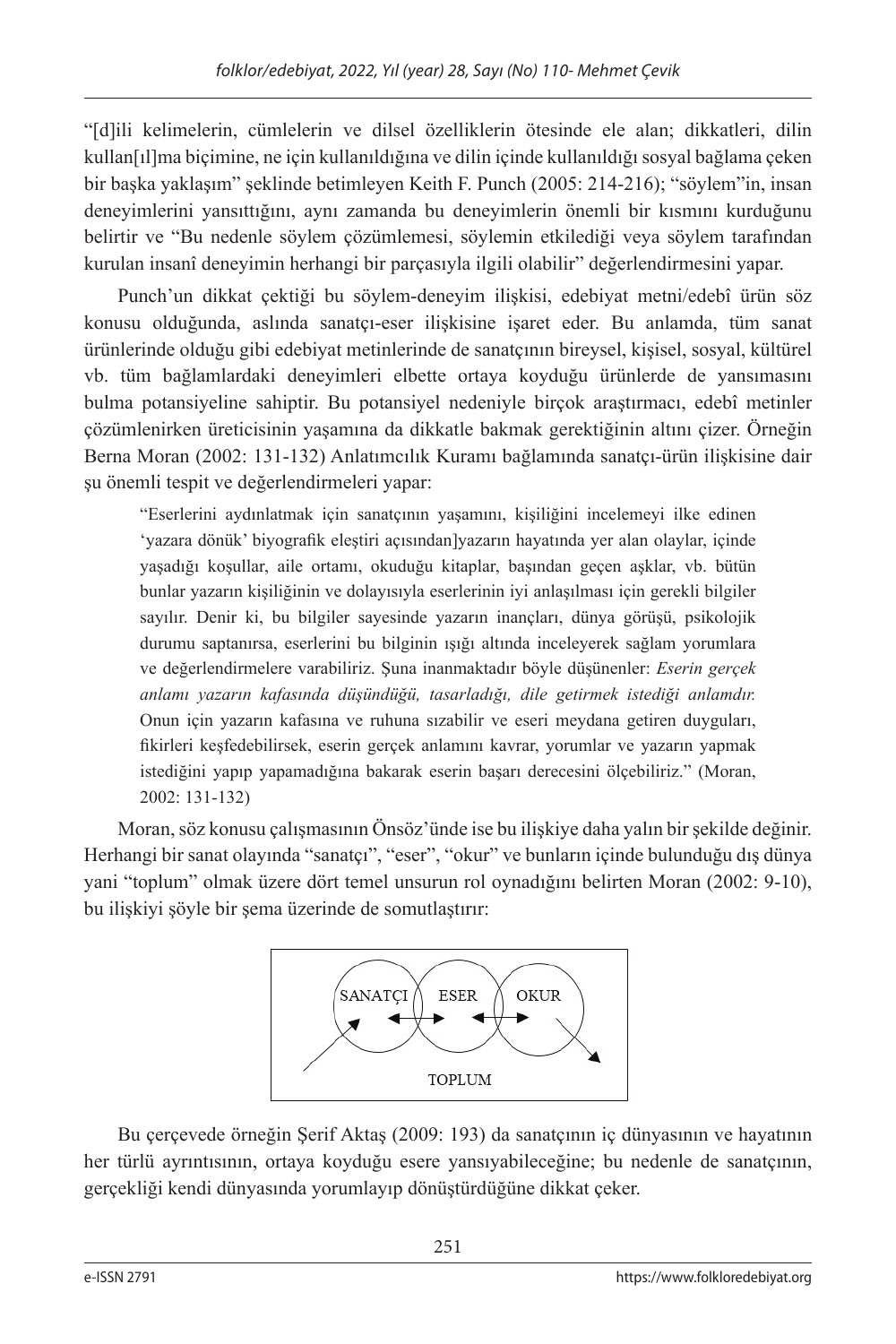"[d]ili kelimelerin, cümlelerin ve dilsel özelliklerin ötesinde ele alan; dikkatleri, dilin kullan[ıl]ma biçimine, ne için kullanıldığına ve dilin içinde kullanıldığı sosyal bağlama çeken bir başka yaklaşım" şeklinde betimleyen Keith F. Punch (2005: 214-216); "söylem"in, insan deneyimlerini yansıttığını, aynı zamanda bu deneyimlerin önemli bir kısmını kurduğunu belirtir ve "Bu nedenle söylem çözümlemesi, söylemin etkilediği veya söylem tarafından kurulan insanî deneyimin herhangi bir parçasıyla ilgili olabilir" değerlendirmesini yapar.

Punch'un dikkat çektiği bu söylem-deneyim ilişkisi, edebiyat metni/edebî ürün söz konusu olduğunda, aslında sanatçı-eser ilişkisine işaret eder. Bu anlamda, tüm sanat ürünlerinde olduğu gibi edebiyat metinlerinde de sanatçının bireysel, kişisel, sosyal, kültürel vb. tüm bağlamlardaki deneyimleri elbette ortaya koyduğu ürünlerde de yansımasını bulma potansiyeline sahiptir. Bu potansiyel nedeniyle birçok araştırmacı, edebî metinler çözümlenirken üreticisinin yaşamına da dikkatle bakmak gerektiğinin altını çizer. Örneğin Berna Moran (2002: 131-132) Anlatımcılık Kuramı bağlamında sanatçı-ürün ilişkisine dair şu önemli tespit ve değerlendirmeleri yapar:

"Eserlerini aydınlatmak için sanatçının yaşamını, kişiliğini incelemeyi ilke edinen 'yazara dönük' biyografik eleştiri açısından]yazarın hayatında yer alan olaylar, içinde yaşadığı koşullar, aile ortamı, okuduğu kitaplar, başından geçen aşklar, vb. bütün bunlar yazarın kişiliğinin ve dolayısıyla eserlerinin iyi anlaşılması için gerekli bilgiler sayılır. Denir ki, bu bilgiler sayesinde yazarın inançları, dünya görüşü, psikolojik durumu saptanırsa, eserlerini bu bilginin ışığı altında inceleyerek sağlam yorumlara ve değerlendirmelere varabiliriz. Şuna inanmaktadır böyle düşünenler: *Eserin gerçek anlamı yazarın kafasında düşündüğü, tasarladığı, dile getirmek istediği anlamdır.* Onun için yazarın kafasına ve ruhuna sızabilir ve eseri meydana getiren duyguları, fikirleri keşfedebilirsek, eserin gerçek anlamını kavrar, yorumlar ve yazarın yapmak istediğini yapıp yapamadığına bakarak eserin başarı derecesini ölçebiliriz." (Moran, 2002: 131-132)

Moran, söz konusu çalışmasının Önsöz'ünde ise bu ilişkiye daha yalın bir şekilde değinir. Herhangi bir sanat olayında "sanatçı", "eser", "okur" ve bunların içinde bulunduğu dış dünya yani "toplum" olmak üzere dört temel unsurun rol oynadığını belirten Moran (2002: 9-10), bu ilişkiyi şöyle bir şema üzerinde de somutlaştırır:



Bu çerçevede örneğin Şerif Aktaş (2009: 193) da sanatçının iç dünyasının ve hayatının her türlü ayrıntısının, ortaya koyduğu esere yansıyabileceğine; bu nedenle de sanatçının, gerçekliği kendi dünyasında yorumlayıp dönüştürdüğüne dikkat çeker.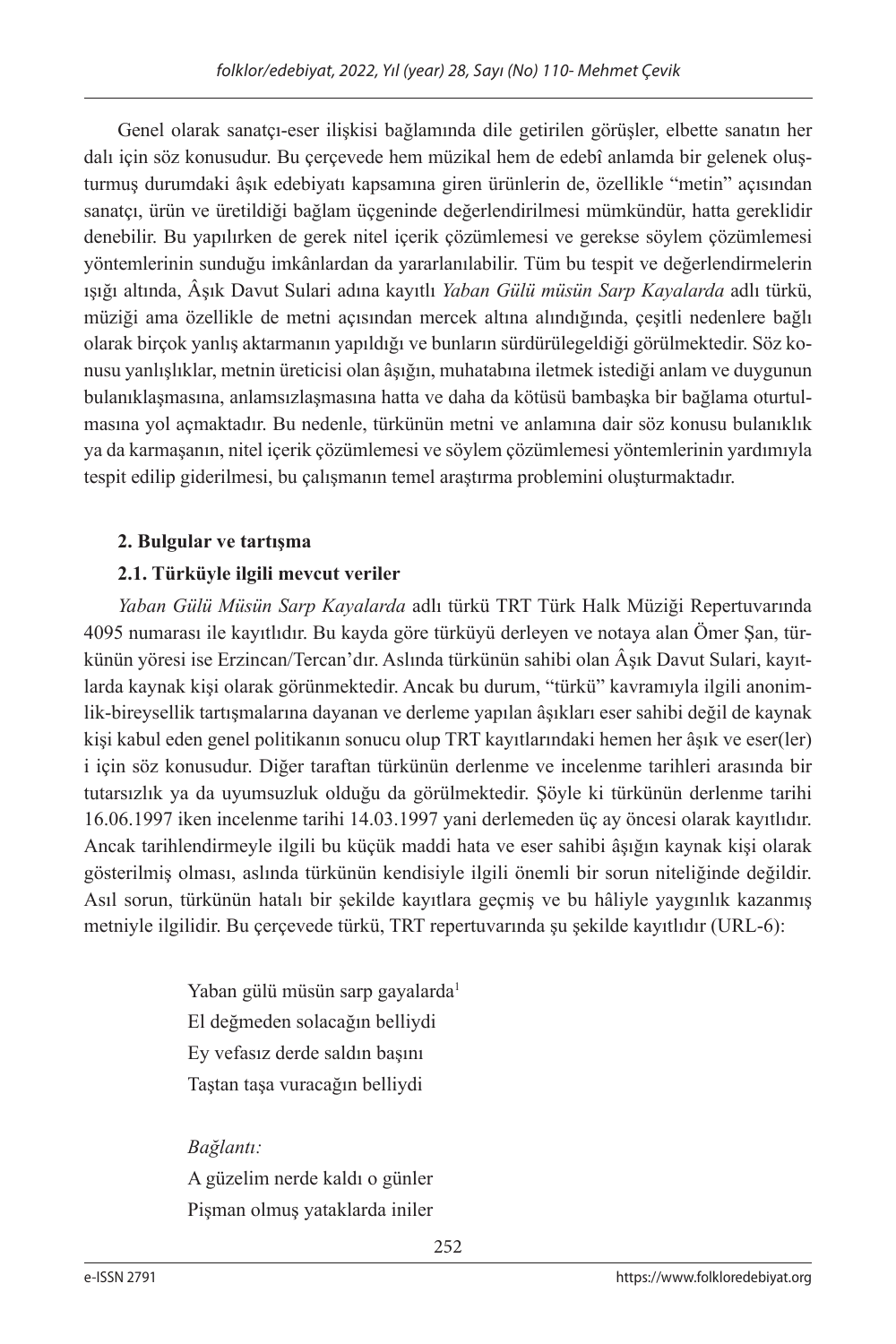Genel olarak sanatçı-eser ilişkisi bağlamında dile getirilen görüşler, elbette sanatın her dalı için söz konusudur. Bu çerçevede hem müzikal hem de edebî anlamda bir gelenek oluşturmuş durumdaki âşık edebiyatı kapsamına giren ürünlerin de, özellikle "metin" açısından sanatçı, ürün ve üretildiği bağlam üçgeninde değerlendirilmesi mümkündür, hatta gereklidir denebilir. Bu yapılırken de gerek nitel içerik çözümlemesi ve gerekse söylem çözümlemesi yöntemlerinin sunduğu imkânlardan da yararlanılabilir. Tüm bu tespit ve değerlendirmelerin ışığı altında, Âşık Davut Sulari adına kayıtlı *Yaban Gülü müsün Sarp Kayalarda* adlı türkü, müziği ama özellikle de metni açısından mercek altına alındığında, çeşitli nedenlere bağlı olarak birçok yanlış aktarmanın yapıldığı ve bunların sürdürülegeldiği görülmektedir. Söz konusu yanlışlıklar, metnin üreticisi olan âşığın, muhatabına iletmek istediği anlam ve duygunun bulanıklaşmasına, anlamsızlaşmasına hatta ve daha da kötüsü bambaşka bir bağlama oturtulmasına yol açmaktadır. Bu nedenle, türkünün metni ve anlamına dair söz konusu bulanıklık ya da karmaşanın, nitel içerik çözümlemesi ve söylem çözümlemesi yöntemlerinin yardımıyla tespit edilip giderilmesi, bu çalışmanın temel araştırma problemini oluşturmaktadır.

## **2. Bulgular ve tartışma**

## **2.1. Türküyle ilgili mevcut veriler**

*Yaban Gülü Müsün Sarp Kayalarda* adlı türkü TRT Türk Halk Müziği Repertuvarında 4095 numarası ile kayıtlıdır. Bu kayda göre türküyü derleyen ve notaya alan Ömer Şan, türkünün yöresi ise Erzincan/Tercan'dır. Aslında türkünün sahibi olan Âşık Davut Sulari, kayıtlarda kaynak kişi olarak görünmektedir. Ancak bu durum, "türkü" kavramıyla ilgili anonimlik-bireysellik tartışmalarına dayanan ve derleme yapılan âşıkları eser sahibi değil de kaynak kişi kabul eden genel politikanın sonucu olup TRT kayıtlarındaki hemen her âşık ve eser(ler) i için söz konusudur. Diğer taraftan türkünün derlenme ve incelenme tarihleri arasında bir tutarsızlık ya da uyumsuzluk olduğu da görülmektedir. Şöyle ki türkünün derlenme tarihi 16.06.1997 iken incelenme tarihi 14.03.1997 yani derlemeden üç ay öncesi olarak kayıtlıdır. Ancak tarihlendirmeyle ilgili bu küçük maddi hata ve eser sahibi âşığın kaynak kişi olarak gösterilmiş olması, aslında türkünün kendisiyle ilgili önemli bir sorun niteliğinde değildir. Asıl sorun, türkünün hatalı bir şekilde kayıtlara geçmiş ve bu hâliyle yaygınlık kazanmış metniyle ilgilidir. Bu çerçevede türkü, TRT repertuvarında şu şekilde kayıtlıdır (URL-6):

> Yaban gülü müsün sarp gayalarda<sup>1</sup> El değmeden solacağın belliydi Ey vefasız derde saldın başını Taştan taşa vuracağın belliydi

## *Bağlantı:*

A güzelim nerde kaldı o günler Pişman olmuş yataklarda iniler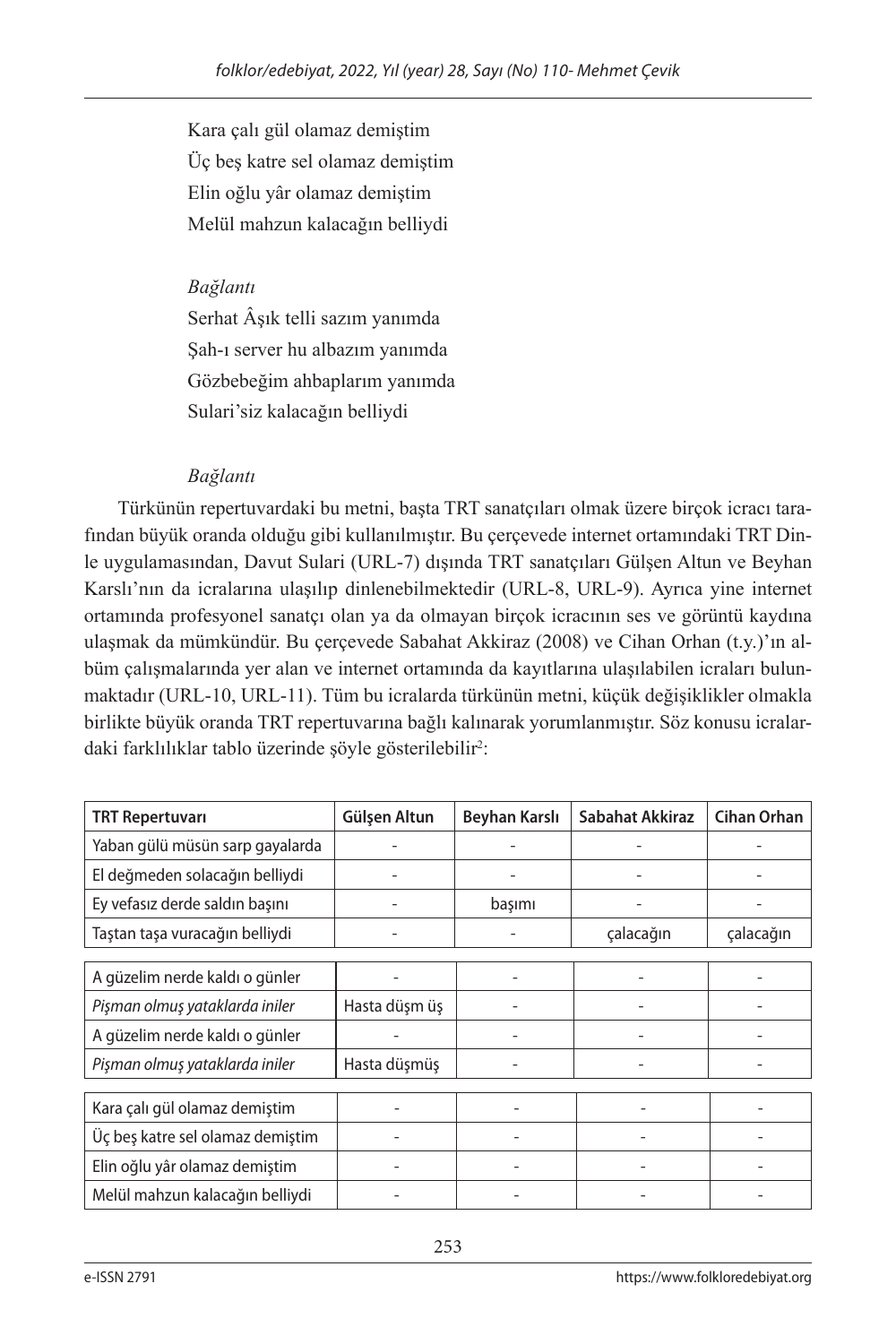Kara çalı gül olamaz demiştim Üç beş katre sel olamaz demiştim Elin oğlu yâr olamaz demiştim Melül mahzun kalacağın belliydi

#### *Bağlantı*

Serhat Âşık telli sazım yanımda Şah-ı server hu albazım yanımda Gözbebeğim ahbaplarım yanımda Sulari'siz kalacağın belliydi

## *Bağlantı*

Türkünün repertuvardaki bu metni, başta TRT sanatçıları olmak üzere birçok icracı tarafından büyük oranda olduğu gibi kullanılmıştır. Bu çerçevede internet ortamındaki TRT Dinle uygulamasından, Davut Sulari (URL-7) dışında TRT sanatçıları Gülşen Altun ve Beyhan Karslı'nın da icralarına ulaşılıp dinlenebilmektedir (URL-8, URL-9). Ayrıca yine internet ortamında profesyonel sanatçı olan ya da olmayan birçok icracının ses ve görüntü kaydına ulaşmak da mümkündür. Bu çerçevede Sabahat Akkiraz (2008) ve Cihan Orhan (t.y.)'ın albüm çalışmalarında yer alan ve internet ortamında da kayıtlarına ulaşılabilen icraları bulunmaktadır (URL-10, URL-11). Tüm bu icralarda türkünün metni, küçük değişiklikler olmakla birlikte büyük oranda TRT repertuvarına bağlı kalınarak yorumlanmıştır. Söz konusu icralardaki farklılıklar tablo üzerinde şöyle gösterilebilir<sup>2</sup>:

| <b>TRT Repertuvari</b>           | Gülşen Altun  | Beyhan Karslı | Sabahat Akkiraz | <b>Cihan Orhan</b> |
|----------------------------------|---------------|---------------|-----------------|--------------------|
| Yaban gülü müsün sarp gayalarda  |               |               |                 |                    |
| El değmeden solacağın belliydi   |               |               |                 |                    |
| Ey vefasız derde saldın başını   |               | başımı        |                 |                    |
| Taştan taşa vuracağın belliydi   |               |               | çalacağın       | çalacağın          |
|                                  |               |               |                 |                    |
| A güzelim nerde kaldı o günler   |               |               |                 |                    |
| Pişman olmuş yataklarda iniler   | Hasta düşm üş |               |                 |                    |
| A güzelim nerde kaldı o günler   |               |               |                 |                    |
| Pişman olmuş yataklarda iniler   | Hasta düşmüş  |               |                 |                    |
|                                  |               |               |                 |                    |
| Kara çalı gül olamaz demiştim    |               |               |                 |                    |
| Üç beş katre sel olamaz demiştim |               |               |                 |                    |
| Elin oğlu yâr olamaz demiştim    |               |               |                 |                    |
| Melül mahzun kalacağın belliydi  |               |               |                 |                    |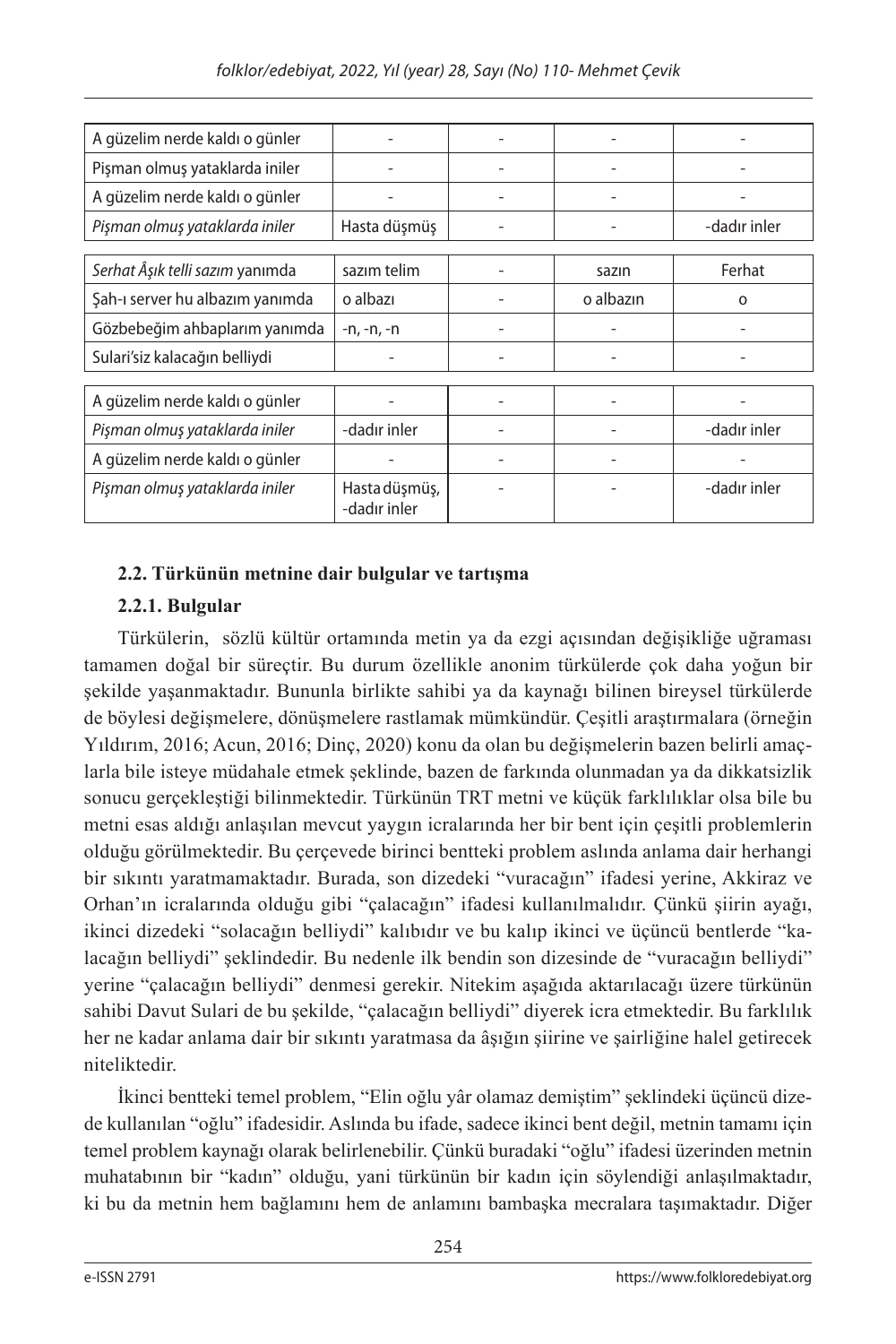| A güzelim nerde kaldı o günler  |                               |  |           |              |  |  |
|---------------------------------|-------------------------------|--|-----------|--------------|--|--|
| Pişman olmuş yataklarda iniler  |                               |  |           |              |  |  |
| A güzelim nerde kaldı o günler  |                               |  |           |              |  |  |
| Pişman olmuş yataklarda iniler  | Hasta düşmüş                  |  |           | -dadır inler |  |  |
|                                 |                               |  |           |              |  |  |
| Serhat Âşık telli sazım yanımda | sazım telim                   |  | sazın     | Ferhat       |  |  |
| Sah-ı server hu albazım yanımda | o albazı                      |  | o albazin | $\Omega$     |  |  |
| Gözbebeğim ahbaplarım yanımda   | $-n, -n, -n$                  |  |           |              |  |  |
| Sulari'siz kalacağın belliydi   |                               |  |           |              |  |  |
|                                 |                               |  |           |              |  |  |
| A güzelim nerde kaldı o günler  |                               |  |           |              |  |  |
| Pişman olmuş yataklarda iniler  | -dadır inler                  |  |           | -dadır inler |  |  |
| A güzelim nerde kaldı o günler  |                               |  |           |              |  |  |
| Pişman olmuş yataklarda iniler  | Hasta düşmüş,<br>-dadır inler |  |           | -dadır inler |  |  |

## **2.2. Türkünün metnine dair bulgular ve tartışma**

## **2.2.1. Bulgular**

Türkülerin, sözlü kültür ortamında metin ya da ezgi açısından değişikliğe uğraması tamamen doğal bir süreçtir. Bu durum özellikle anonim türkülerde çok daha yoğun bir şekilde yaşanmaktadır. Bununla birlikte sahibi ya da kaynağı bilinen bireysel türkülerde de böylesi değişmelere, dönüşmelere rastlamak mümkündür. Çeşitli araştırmalara (örneğin Yıldırım, 2016; Acun, 2016; Dinç, 2020) konu da olan bu değişmelerin bazen belirli amaçlarla bile isteye müdahale etmek şeklinde, bazen de farkında olunmadan ya da dikkatsizlik sonucu gerçekleştiği bilinmektedir. Türkünün TRT metni ve küçük farklılıklar olsa bile bu metni esas aldığı anlaşılan mevcut yaygın icralarında her bir bent için çeşitli problemlerin olduğu görülmektedir. Bu çerçevede birinci bentteki problem aslında anlama dair herhangi bir sıkıntı yaratmamaktadır. Burada, son dizedeki "vuracağın" ifadesi yerine, Akkiraz ve Orhan'ın icralarında olduğu gibi "çalacağın" ifadesi kullanılmalıdır. Çünkü şiirin ayağı, ikinci dizedeki "solacağın belliydi" kalıbıdır ve bu kalıp ikinci ve üçüncü bentlerde "kalacağın belliydi" şeklindedir. Bu nedenle ilk bendin son dizesinde de "vuracağın belliydi" yerine "çalacağın belliydi" denmesi gerekir. Nitekim aşağıda aktarılacağı üzere türkünün sahibi Davut Sulari de bu şekilde, "çalacağın belliydi" diyerek icra etmektedir. Bu farklılık her ne kadar anlama dair bir sıkıntı yaratmasa da âşığın şiirine ve şairliğine halel getirecek niteliktedir.

İkinci bentteki temel problem, "Elin oğlu yâr olamaz demiştim" şeklindeki üçüncü dizede kullanılan "oğlu" ifadesidir. Aslında bu ifade, sadece ikinci bent değil, metnin tamamı için temel problem kaynağı olarak belirlenebilir. Çünkü buradaki "oğlu" ifadesi üzerinden metnin muhatabının bir "kadın" olduğu, yani türkünün bir kadın için söylendiği anlaşılmaktadır, ki bu da metnin hem bağlamını hem de anlamını bambaşka mecralara taşımaktadır. Diğer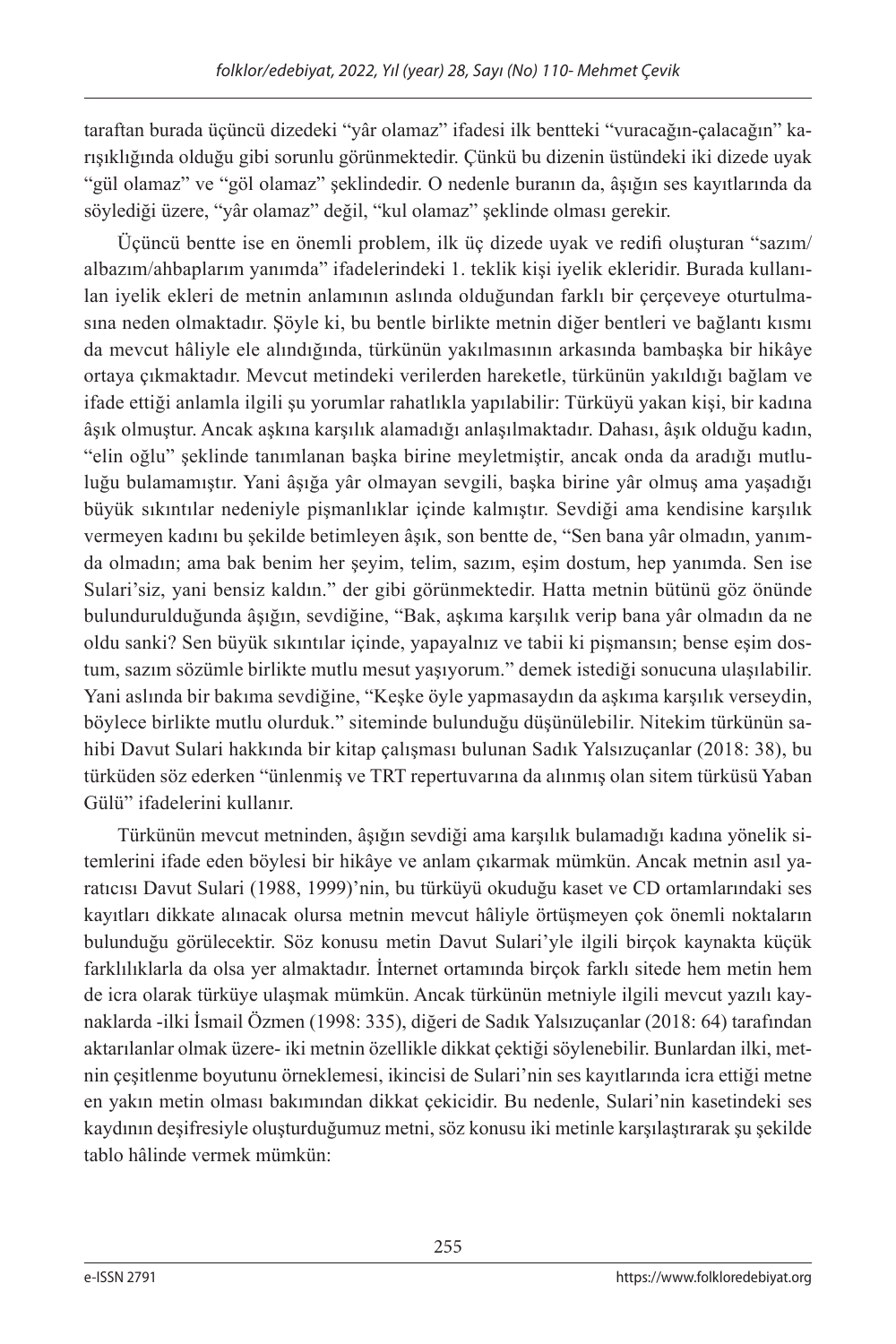taraftan burada üçüncü dizedeki "yâr olamaz" ifadesi ilk bentteki "vuracağın-çalacağın" karışıklığında olduğu gibi sorunlu görünmektedir. Çünkü bu dizenin üstündeki iki dizede uyak "gül olamaz" ve "göl olamaz" şeklindedir. O nedenle buranın da, âşığın ses kayıtlarında da söylediği üzere, "yâr olamaz" değil, "kul olamaz" şeklinde olması gerekir.

Üçüncü bentte ise en önemli problem, ilk üç dizede uyak ve redifi oluşturan "sazım/ albazım/ahbaplarım yanımda" ifadelerindeki 1. teklik kişi iyelik ekleridir. Burada kullanılan iyelik ekleri de metnin anlamının aslında olduğundan farklı bir çerçeveye oturtulmasına neden olmaktadır. Şöyle ki, bu bentle birlikte metnin diğer bentleri ve bağlantı kısmı da mevcut hâliyle ele alındığında, türkünün yakılmasının arkasında bambaşka bir hikâye ortaya çıkmaktadır. Mevcut metindeki verilerden hareketle, türkünün yakıldığı bağlam ve ifade ettiği anlamla ilgili şu yorumlar rahatlıkla yapılabilir: Türküyü yakan kişi, bir kadına âşık olmuştur. Ancak aşkına karşılık alamadığı anlaşılmaktadır. Dahası, âşık olduğu kadın, "elin oğlu" şeklinde tanımlanan başka birine meyletmiştir, ancak onda da aradığı mutluluğu bulamamıştır. Yani âşığa yâr olmayan sevgili, başka birine yâr olmuş ama yaşadığı büyük sıkıntılar nedeniyle pişmanlıklar içinde kalmıştır. Sevdiği ama kendisine karşılık vermeyen kadını bu şekilde betimleyen âşık, son bentte de, "Sen bana yâr olmadın, yanımda olmadın; ama bak benim her şeyim, telim, sazım, eşim dostum, hep yanımda. Sen ise Sulari'siz, yani bensiz kaldın." der gibi görünmektedir. Hatta metnin bütünü göz önünde bulundurulduğunda âşığın, sevdiğine, "Bak, aşkıma karşılık verip bana yâr olmadın da ne oldu sanki? Sen büyük sıkıntılar içinde, yapayalnız ve tabii ki pişmansın; bense eşim dostum, sazım sözümle birlikte mutlu mesut yaşıyorum." demek istediği sonucuna ulaşılabilir. Yani aslında bir bakıma sevdiğine, "Keşke öyle yapmasaydın da aşkıma karşılık verseydin, böylece birlikte mutlu olurduk." siteminde bulunduğu düşünülebilir. Nitekim türkünün sahibi Davut Sulari hakkında bir kitap çalışması bulunan Sadık Yalsızuçanlar (2018: 38), bu türküden söz ederken "ünlenmiş ve TRT repertuvarına da alınmış olan sitem türküsü Yaban Gülü" ifadelerini kullanır.

Türkünün mevcut metninden, âşığın sevdiği ama karşılık bulamadığı kadına yönelik sitemlerini ifade eden böylesi bir hikâye ve anlam çıkarmak mümkün. Ancak metnin asıl yaratıcısı Davut Sulari (1988, 1999)'nin, bu türküyü okuduğu kaset ve CD ortamlarındaki ses kayıtları dikkate alınacak olursa metnin mevcut hâliyle örtüşmeyen çok önemli noktaların bulunduğu görülecektir. Söz konusu metin Davut Sulari'yle ilgili birçok kaynakta küçük farklılıklarla da olsa yer almaktadır. İnternet ortamında birçok farklı sitede hem metin hem de icra olarak türküye ulaşmak mümkün. Ancak türkünün metniyle ilgili mevcut yazılı kaynaklarda -ilki İsmail Özmen (1998: 335), diğeri de Sadık Yalsızuçanlar (2018: 64) tarafından aktarılanlar olmak üzere- iki metnin özellikle dikkat çektiği söylenebilir. Bunlardan ilki, metnin çeşitlenme boyutunu örneklemesi, ikincisi de Sulari'nin ses kayıtlarında icra ettiği metne en yakın metin olması bakımından dikkat çekicidir. Bu nedenle, Sulari'nin kasetindeki ses kaydının deşifresiyle oluşturduğumuz metni, söz konusu iki metinle karşılaştırarak şu şekilde tablo hâlinde vermek mümkün: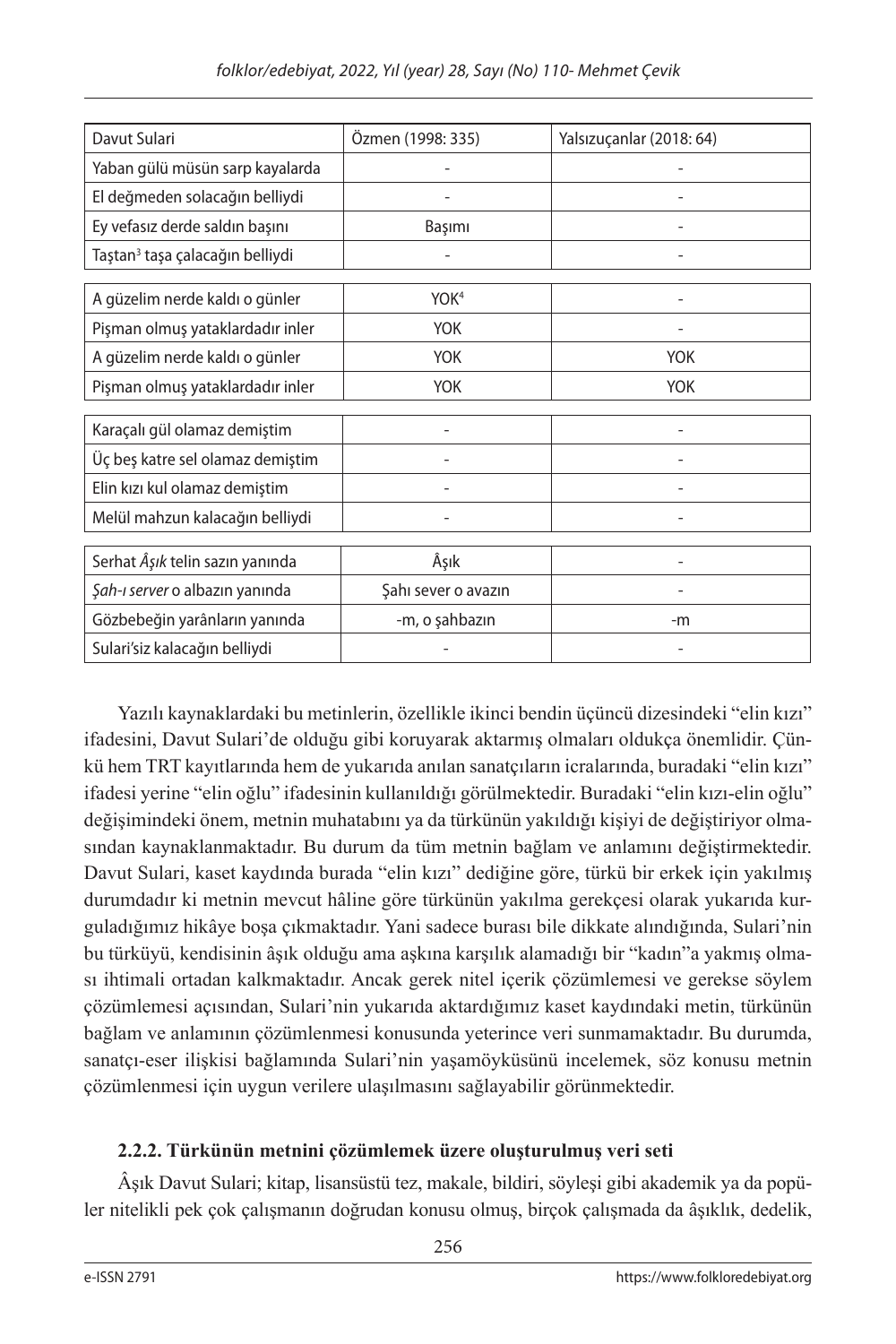| Davut Sulari                                | Özmen (1998: 335)   | Yalsızuçanlar (2018: 64) |  |  |  |  |
|---------------------------------------------|---------------------|--------------------------|--|--|--|--|
| Yaban gülü müsün sarp kayalarda             |                     |                          |  |  |  |  |
| El değmeden solacağın belliydi              |                     |                          |  |  |  |  |
| Ey vefasız derde saldın başını              | Başımı              |                          |  |  |  |  |
| Taştan <sup>3</sup> taşa çalacağın belliydi |                     |                          |  |  |  |  |
| A güzelim nerde kaldı o günler              | YOK <sup>4</sup>    |                          |  |  |  |  |
| Pişman olmuş yataklardadır inler            | <b>YOK</b>          |                          |  |  |  |  |
| A güzelim nerde kaldı o günler              | <b>YOK</b>          | <b>YOK</b>               |  |  |  |  |
| Pişman olmuş yataklardadır inler            | <b>YOK</b>          | <b>YOK</b>               |  |  |  |  |
| Karaçalı gül olamaz demiştim                |                     |                          |  |  |  |  |
|                                             |                     |                          |  |  |  |  |
| Üç beş katre sel olamaz demiştim            |                     |                          |  |  |  |  |
| Elin kızı kul olamaz demiştim               |                     |                          |  |  |  |  |
| Melül mahzun kalacağın belliydi             |                     |                          |  |  |  |  |
|                                             |                     |                          |  |  |  |  |
| Serhat Âşık telin sazın yanında             | Âşık                |                          |  |  |  |  |
| Şah-ı server o albazın yanında              | Şahı sever o avazın |                          |  |  |  |  |
| Gözbebeğin yarânların yanında               | -m, o şahbazın      | -m                       |  |  |  |  |
| Sulari'siz kalacağın belliydi               |                     |                          |  |  |  |  |

Yazılı kaynaklardaki bu metinlerin, özellikle ikinci bendin üçüncü dizesindeki "elin kızı" ifadesini, Davut Sulari'de olduğu gibi koruyarak aktarmış olmaları oldukça önemlidir. Çünkü hem TRT kayıtlarında hem de yukarıda anılan sanatçıların icralarında, buradaki "elin kızı" ifadesi yerine "elin oğlu" ifadesinin kullanıldığı görülmektedir. Buradaki "elin kızı-elin oğlu" değişimindeki önem, metnin muhatabını ya da türkünün yakıldığı kişiyi de değiştiriyor olmasından kaynaklanmaktadır. Bu durum da tüm metnin bağlam ve anlamını değiştirmektedir. Davut Sulari, kaset kaydında burada "elin kızı" dediğine göre, türkü bir erkek için yakılmış durumdadır ki metnin mevcut hâline göre türkünün yakılma gerekçesi olarak yukarıda kurguladığımız hikâye boşa çıkmaktadır. Yani sadece burası bile dikkate alındığında, Sulari'nin bu türküyü, kendisinin âşık olduğu ama aşkına karşılık alamadığı bir "kadın"a yakmış olması ihtimali ortadan kalkmaktadır. Ancak gerek nitel içerik çözümlemesi ve gerekse söylem çözümlemesi açısından, Sulari'nin yukarıda aktardığımız kaset kaydındaki metin, türkünün bağlam ve anlamının çözümlenmesi konusunda yeterince veri sunmamaktadır. Bu durumda, sanatçı-eser ilişkisi bağlamında Sulari'nin yaşamöyküsünü incelemek, söz konusu metnin çözümlenmesi için uygun verilere ulaşılmasını sağlayabilir görünmektedir.

## **2.2.2. Türkünün metnini çözümlemek üzere oluşturulmuş veri seti**

Âşık Davut Sulari; kitap, lisansüstü tez, makale, bildiri, söyleşi gibi akademik ya da popüler nitelikli pek çok çalışmanın doğrudan konusu olmuş, birçok çalışmada da âşıklık, dedelik,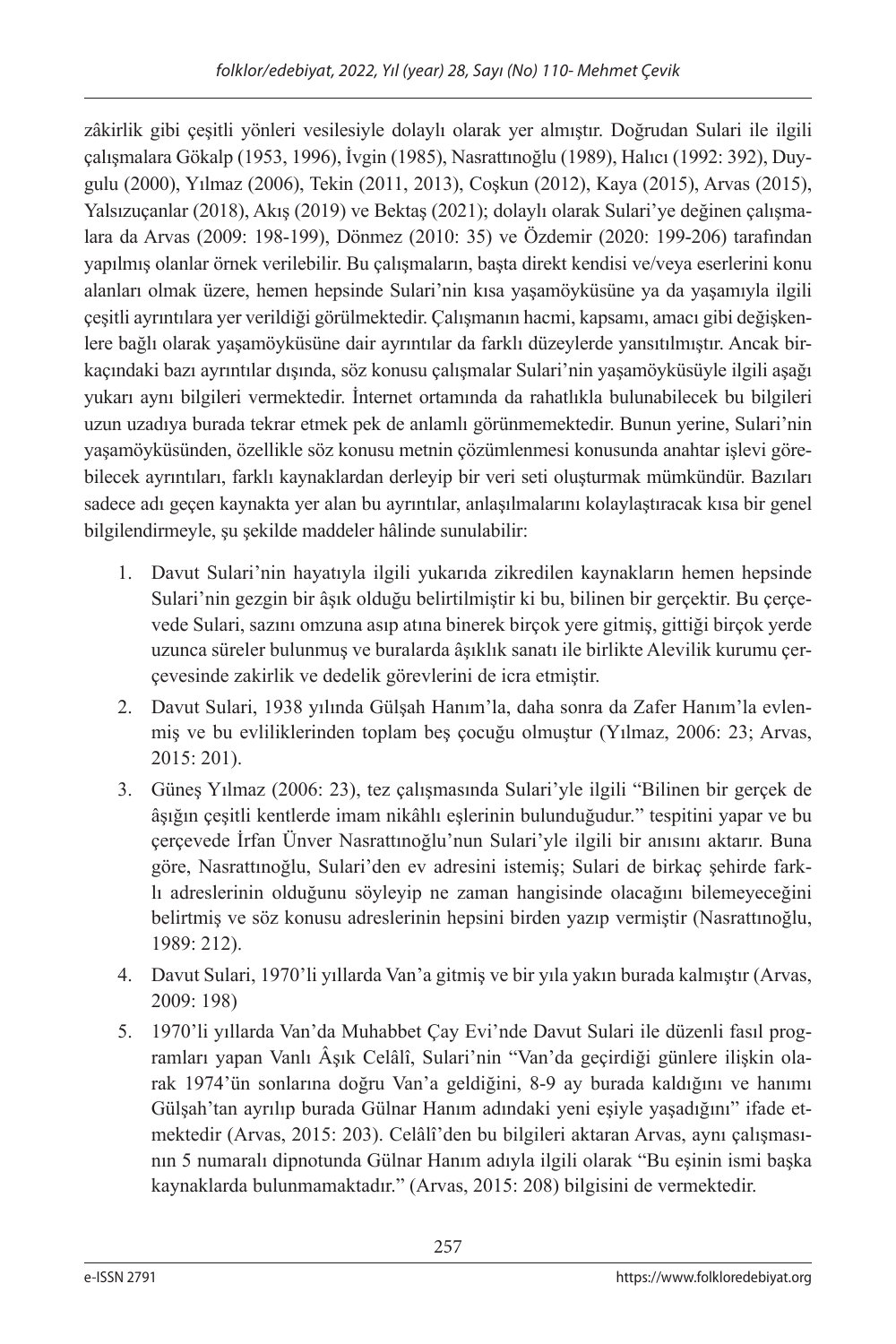zâkirlik gibi çeşitli yönleri vesilesiyle dolaylı olarak yer almıştır. Doğrudan Sulari ile ilgili çalışmalara Gökalp (1953, 1996), İvgin (1985), Nasrattınoğlu (1989), Halıcı (1992: 392), Duygulu (2000), Yılmaz (2006), Tekin (2011, 2013), Coşkun (2012), Kaya (2015), Arvas (2015), Yalsızuçanlar (2018), Akış (2019) ve Bektaş (2021); dolaylı olarak Sulari'ye değinen çalışmalara da Arvas (2009: 198-199), Dönmez (2010: 35) ve Özdemir (2020: 199-206) tarafından yapılmış olanlar örnek verilebilir. Bu çalışmaların, başta direkt kendisi ve/veya eserlerini konu alanları olmak üzere, hemen hepsinde Sulari'nin kısa yaşamöyküsüne ya da yaşamıyla ilgili çeşitli ayrıntılara yer verildiği görülmektedir. Çalışmanın hacmi, kapsamı, amacı gibi değişkenlere bağlı olarak yaşamöyküsüne dair ayrıntılar da farklı düzeylerde yansıtılmıştır. Ancak birkaçındaki bazı ayrıntılar dışında, söz konusu çalışmalar Sulari'nin yaşamöyküsüyle ilgili aşağı yukarı aynı bilgileri vermektedir. İnternet ortamında da rahatlıkla bulunabilecek bu bilgileri uzun uzadıya burada tekrar etmek pek de anlamlı görünmemektedir. Bunun yerine, Sulari'nin yaşamöyküsünden, özellikle söz konusu metnin çözümlenmesi konusunda anahtar işlevi görebilecek ayrıntıları, farklı kaynaklardan derleyip bir veri seti oluşturmak mümkündür. Bazıları sadece adı geçen kaynakta yer alan bu ayrıntılar, anlaşılmalarını kolaylaştıracak kısa bir genel bilgilendirmeyle, şu şekilde maddeler hâlinde sunulabilir:

- 1. Davut Sulari'nin hayatıyla ilgili yukarıda zikredilen kaynakların hemen hepsinde Sulari'nin gezgin bir âşık olduğu belirtilmiştir ki bu, bilinen bir gerçektir. Bu çerçevede Sulari, sazını omzuna asıp atına binerek birçok yere gitmiş, gittiği birçok yerde uzunca süreler bulunmuş ve buralarda âşıklık sanatı ile birlikte Alevilik kurumu çerçevesinde zakirlik ve dedelik görevlerini de icra etmiştir.
- 2. Davut Sulari, 1938 yılında Gülşah Hanım'la, daha sonra da Zafer Hanım'la evlenmiş ve bu evliliklerinden toplam beş çocuğu olmuştur (Yılmaz, 2006: 23; Arvas, 2015: 201).
- 3. Güneş Yılmaz (2006: 23), tez çalışmasında Sulari'yle ilgili "Bilinen bir gerçek de âşığın çeşitli kentlerde imam nikâhlı eşlerinin bulunduğudur." tespitini yapar ve bu çerçevede İrfan Ünver Nasrattınoğlu'nun Sulari'yle ilgili bir anısını aktarır. Buna göre, Nasrattınoğlu, Sulari'den ev adresini istemiş; Sulari de birkaç şehirde farklı adreslerinin olduğunu söyleyip ne zaman hangisinde olacağını bilemeyeceğini belirtmiş ve söz konusu adreslerinin hepsini birden yazıp vermiştir (Nasrattınoğlu, 1989: 212).
- 4. Davut Sulari, 1970'li yıllarda Van'a gitmiş ve bir yıla yakın burada kalmıştır (Arvas, 2009: 198)
- 5. 1970'li yıllarda Van'da Muhabbet Çay Evi'nde Davut Sulari ile düzenli fasıl programları yapan Vanlı Âşık Celâlî, Sulari'nin "Van'da geçirdiği günlere ilişkin olarak 1974'ün sonlarına doğru Van'a geldiğini, 8-9 ay burada kaldığını ve hanımı Gülşah'tan ayrılıp burada Gülnar Hanım adındaki yeni eşiyle yaşadığını" ifade etmektedir (Arvas, 2015: 203). Celâlî'den bu bilgileri aktaran Arvas, aynı çalışmasının 5 numaralı dipnotunda Gülnar Hanım adıyla ilgili olarak "Bu eşinin ismi başka kaynaklarda bulunmamaktadır." (Arvas, 2015: 208) bilgisini de vermektedir.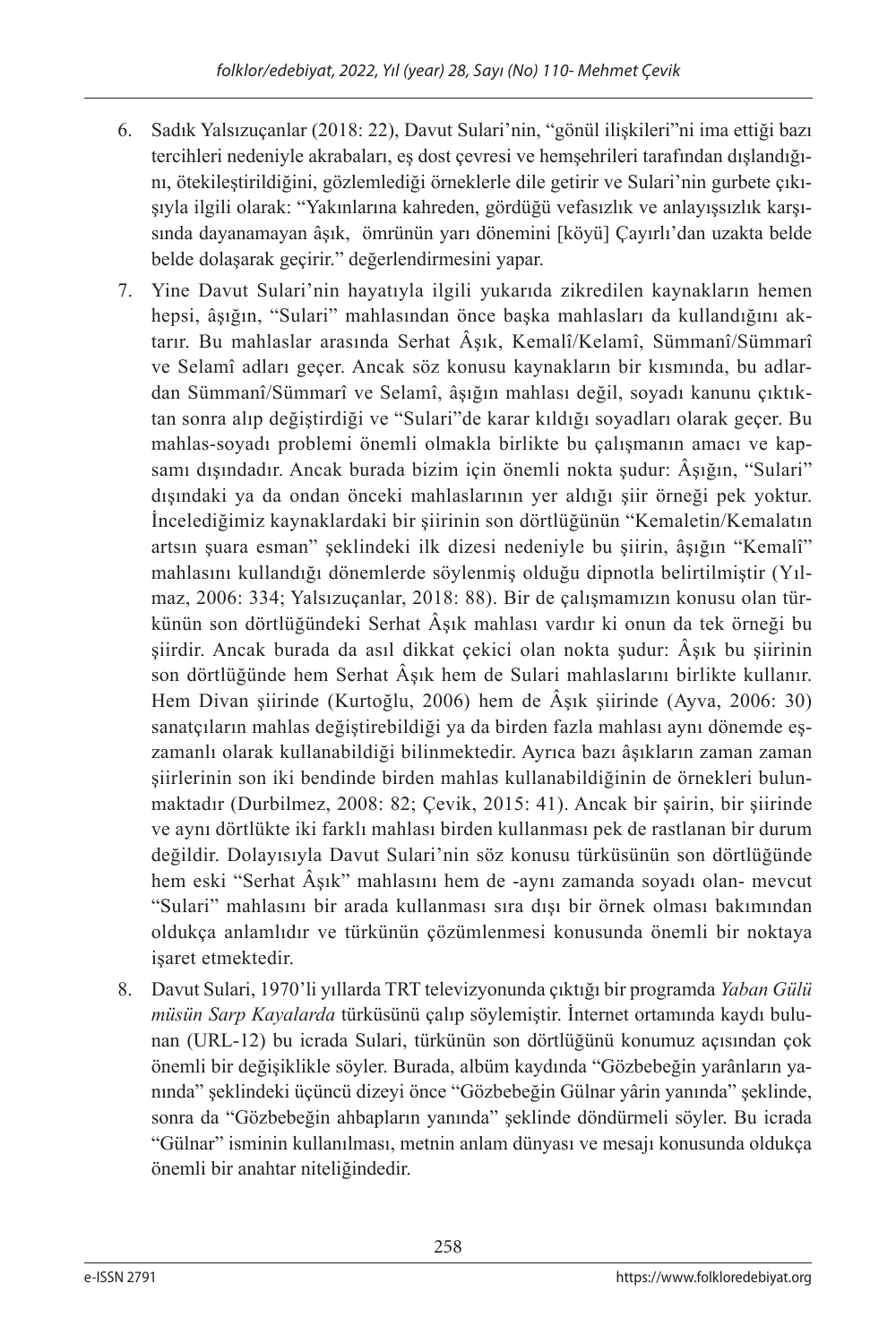- 6. Sadık Yalsızuçanlar (2018: 22), Davut Sulari'nin, "gönül ilişkileri"ni ima ettiği bazı tercihleri nedeniyle akrabaları, eş dost çevresi ve hemşehrileri tarafından dışlandığını, ötekileştirildiğini, gözlemlediği örneklerle dile getirir ve Sulari'nin gurbete çıkışıyla ilgili olarak: "Yakınlarına kahreden, gördüğü vefasızlık ve anlayışsızlık karşısında dayanamayan âşık, ömrünün yarı dönemini [köyü] Çayırlı'dan uzakta belde belde dolaşarak geçirir." değerlendirmesini yapar.
- 7. Yine Davut Sulari'nin hayatıyla ilgili yukarıda zikredilen kaynakların hemen hepsi, âşığın, "Sulari" mahlasından önce başka mahlasları da kullandığını aktarır. Bu mahlaslar arasında Serhat Âşık, Kemalî/Kelamî, Sümmanî/Sümmarî ve Selamî adları geçer. Ancak söz konusu kaynakların bir kısmında, bu adlardan Sümmanî/Sümmarî ve Selamî, âşığın mahlası değil, soyadı kanunu çıktıktan sonra alıp değiştirdiği ve "Sulari"de karar kıldığı soyadları olarak geçer. Bu mahlas-soyadı problemi önemli olmakla birlikte bu çalışmanın amacı ve kapsamı dışındadır. Ancak burada bizim için önemli nokta şudur: Âşığın, "Sulari" dışındaki ya da ondan önceki mahlaslarının yer aldığı şiir örneği pek yoktur. İncelediğimiz kaynaklardaki bir şiirinin son dörtlüğünün "Kemaletin/Kemalatın artsın şuara esman" şeklindeki ilk dizesi nedeniyle bu şiirin, âşığın "Kemalî" mahlasını kullandığı dönemlerde söylenmiş olduğu dipnotla belirtilmiştir (Yılmaz, 2006: 334; Yalsızuçanlar, 2018: 88). Bir de çalışmamızın konusu olan türkünün son dörtlüğündeki Serhat Âşık mahlası vardır ki onun da tek örneği bu şiirdir. Ancak burada da asıl dikkat çekici olan nokta şudur: Âşık bu şiirinin son dörtlüğünde hem Serhat Âşık hem de Sulari mahlaslarını birlikte kullanır. Hem Divan şiirinde (Kurtoğlu, 2006) hem de Âşık şiirinde (Ayva, 2006: 30) sanatçıların mahlas değiştirebildiği ya da birden fazla mahlası aynı dönemde eşzamanlı olarak kullanabildiği bilinmektedir. Ayrıca bazı âşıkların zaman zaman şiirlerinin son iki bendinde birden mahlas kullanabildiğinin de örnekleri bulunmaktadır (Durbilmez, 2008: 82; Çevik, 2015: 41). Ancak bir şairin, bir şiirinde ve aynı dörtlükte iki farklı mahlası birden kullanması pek de rastlanan bir durum değildir. Dolayısıyla Davut Sulari'nin söz konusu türküsünün son dörtlüğünde hem eski "Serhat Âşık" mahlasını hem de -aynı zamanda soyadı olan- mevcut "Sulari" mahlasını bir arada kullanması sıra dışı bir örnek olması bakımından oldukça anlamlıdır ve türkünün çözümlenmesi konusunda önemli bir noktaya işaret etmektedir.
- 8. Davut Sulari, 1970'li yıllarda TRT televizyonunda çıktığı bir programda *Yaban Gülü müsün Sarp Kayalarda* türküsünü çalıp söylemiştir. İnternet ortamında kaydı bulunan (URL-12) bu icrada Sulari, türkünün son dörtlüğünü konumuz açısından çok önemli bir değişiklikle söyler. Burada, albüm kaydında "Gözbebeğin yarânların yanında" şeklindeki üçüncü dizeyi önce "Gözbebeğin Gülnar yârin yanında" şeklinde, sonra da "Gözbebeğin ahbapların yanında" şeklinde döndürmeli söyler. Bu icrada "Gülnar" isminin kullanılması, metnin anlam dünyası ve mesajı konusunda oldukça önemli bir anahtar niteliğindedir.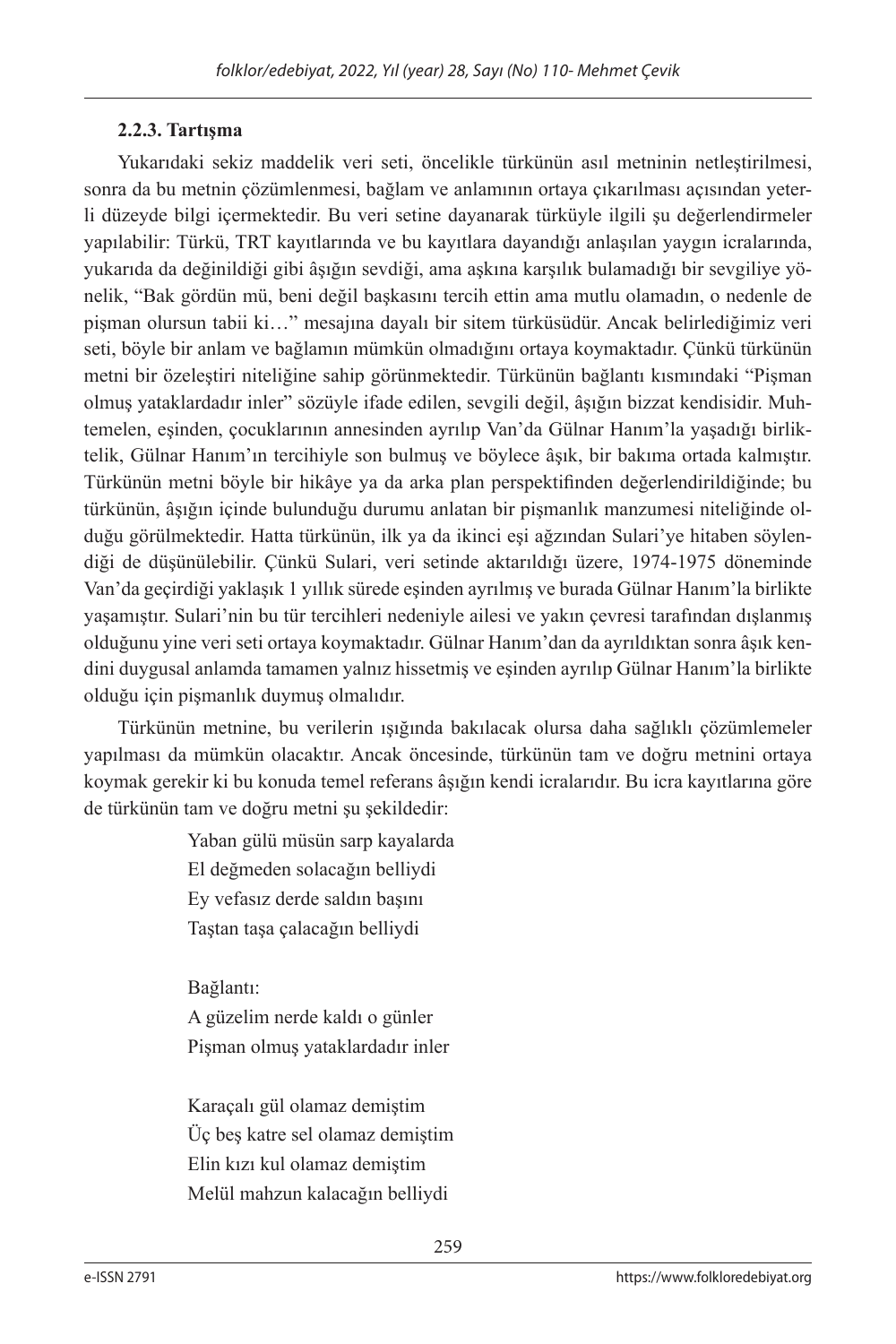## **2.2.3. Tartışma**

Yukarıdaki sekiz maddelik veri seti, öncelikle türkünün asıl metninin netleştirilmesi, sonra da bu metnin çözümlenmesi, bağlam ve anlamının ortaya çıkarılması açısından yeterli düzeyde bilgi içermektedir. Bu veri setine dayanarak türküyle ilgili şu değerlendirmeler yapılabilir: Türkü, TRT kayıtlarında ve bu kayıtlara dayandığı anlaşılan yaygın icralarında, yukarıda da değinildiği gibi âşığın sevdiği, ama aşkına karşılık bulamadığı bir sevgiliye yönelik, "Bak gördün mü, beni değil başkasını tercih ettin ama mutlu olamadın, o nedenle de pişman olursun tabii ki…" mesajına dayalı bir sitem türküsüdür. Ancak belirlediğimiz veri seti, böyle bir anlam ve bağlamın mümkün olmadığını ortaya koymaktadır. Çünkü türkünün metni bir özeleştiri niteliğine sahip görünmektedir. Türkünün bağlantı kısmındaki "Pişman olmuş yataklardadır inler" sözüyle ifade edilen, sevgili değil, âşığın bizzat kendisidir. Muhtemelen, eşinden, çocuklarının annesinden ayrılıp Van'da Gülnar Hanım'la yaşadığı birliktelik, Gülnar Hanım'ın tercihiyle son bulmuş ve böylece âşık, bir bakıma ortada kalmıştır. Türkünün metni böyle bir hikâye ya da arka plan perspektifinden değerlendirildiğinde; bu türkünün, âşığın içinde bulunduğu durumu anlatan bir pişmanlık manzumesi niteliğinde olduğu görülmektedir. Hatta türkünün, ilk ya da ikinci eşi ağzından Sulari'ye hitaben söylendiği de düşünülebilir. Çünkü Sulari, veri setinde aktarıldığı üzere, 1974-1975 döneminde Van'da geçirdiği yaklaşık 1 yıllık sürede eşinden ayrılmış ve burada Gülnar Hanım'la birlikte yaşamıştır. Sulari'nin bu tür tercihleri nedeniyle ailesi ve yakın çevresi tarafından dışlanmış olduğunu yine veri seti ortaya koymaktadır. Gülnar Hanım'dan da ayrıldıktan sonra âşık kendini duygusal anlamda tamamen yalnız hissetmiş ve eşinden ayrılıp Gülnar Hanım'la birlikte olduğu için pişmanlık duymuş olmalıdır.

Türkünün metnine, bu verilerin ışığında bakılacak olursa daha sağlıklı çözümlemeler yapılması da mümkün olacaktır. Ancak öncesinde, türkünün tam ve doğru metnini ortaya koymak gerekir ki bu konuda temel referans âşığın kendi icralarıdır. Bu icra kayıtlarına göre de türkünün tam ve doğru metni şu şekildedir:

> Yaban gülü müsün sarp kayalarda El değmeden solacağın belliydi Ey vefasız derde saldın başını Taştan taşa çalacağın belliydi

Bağlantı:

A güzelim nerde kaldı o günler Pişman olmuş yataklardadır inler

Karaçalı gül olamaz demiştim Üç beş katre sel olamaz demiştim Elin kızı kul olamaz demiştim Melül mahzun kalacağın belliydi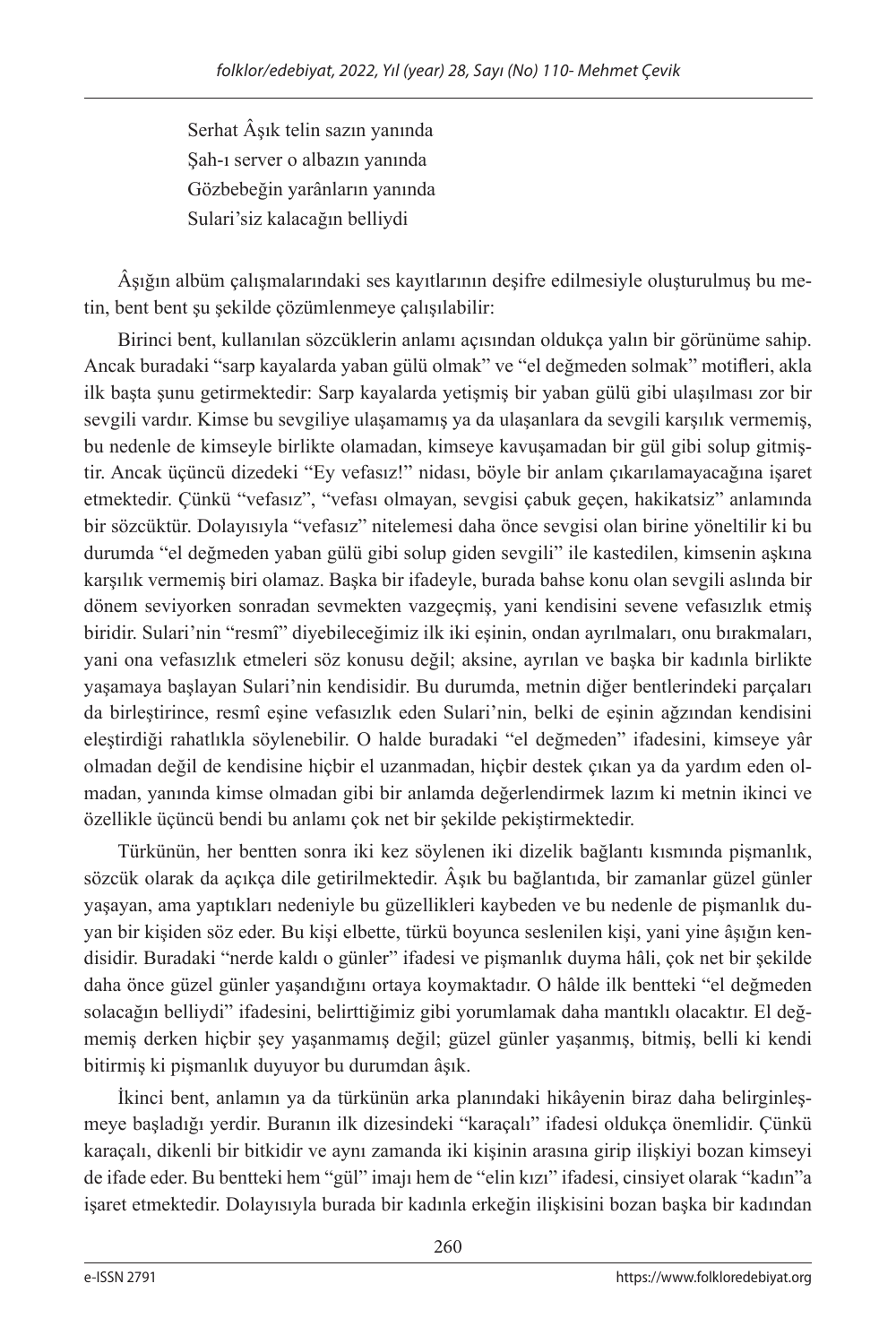Serhat Âşık telin sazın yanında Şah-ı server o albazın yanında Gözbebeğin yarânların yanında Sulari'siz kalacağın belliydi

Âşığın albüm çalışmalarındaki ses kayıtlarının deşifre edilmesiyle oluşturulmuş bu metin, bent bent şu şekilde çözümlenmeye çalışılabilir:

Birinci bent, kullanılan sözcüklerin anlamı açısından oldukça yalın bir görünüme sahip. Ancak buradaki "sarp kayalarda yaban gülü olmak" ve "el değmeden solmak" motifleri, akla ilk başta şunu getirmektedir: Sarp kayalarda yetişmiş bir yaban gülü gibi ulaşılması zor bir sevgili vardır. Kimse bu sevgiliye ulaşamamış ya da ulaşanlara da sevgili karşılık vermemiş, bu nedenle de kimseyle birlikte olamadan, kimseye kavuşamadan bir gül gibi solup gitmiştir. Ancak üçüncü dizedeki "Ey vefasız!" nidası, böyle bir anlam çıkarılamayacağına işaret etmektedir. Çünkü "vefasız", "vefası olmayan, sevgisi çabuk geçen, hakikatsiz" anlamında bir sözcüktür. Dolayısıyla "vefasız" nitelemesi daha önce sevgisi olan birine yöneltilir ki bu durumda "el değmeden yaban gülü gibi solup giden sevgili" ile kastedilen, kimsenin aşkına karşılık vermemiş biri olamaz. Başka bir ifadeyle, burada bahse konu olan sevgili aslında bir dönem seviyorken sonradan sevmekten vazgeçmiş, yani kendisini sevene vefasızlık etmiş biridir. Sulari'nin "resmî" diyebileceğimiz ilk iki eşinin, ondan ayrılmaları, onu bırakmaları, yani ona vefasızlık etmeleri söz konusu değil; aksine, ayrılan ve başka bir kadınla birlikte yaşamaya başlayan Sulari'nin kendisidir. Bu durumda, metnin diğer bentlerindeki parçaları da birleştirince, resmî eşine vefasızlık eden Sulari'nin, belki de eşinin ağzından kendisini eleştirdiği rahatlıkla söylenebilir. O halde buradaki "el değmeden" ifadesini, kimseye yâr olmadan değil de kendisine hiçbir el uzanmadan, hiçbir destek çıkan ya da yardım eden olmadan, yanında kimse olmadan gibi bir anlamda değerlendirmek lazım ki metnin ikinci ve özellikle üçüncü bendi bu anlamı çok net bir şekilde pekiştirmektedir.

Türkünün, her bentten sonra iki kez söylenen iki dizelik bağlantı kısmında pişmanlık, sözcük olarak da açıkça dile getirilmektedir. Âşık bu bağlantıda, bir zamanlar güzel günler yaşayan, ama yaptıkları nedeniyle bu güzellikleri kaybeden ve bu nedenle de pişmanlık duyan bir kişiden söz eder. Bu kişi elbette, türkü boyunca seslenilen kişi, yani yine âşığın kendisidir. Buradaki "nerde kaldı o günler" ifadesi ve pişmanlık duyma hâli, çok net bir şekilde daha önce güzel günler yaşandığını ortaya koymaktadır. O hâlde ilk bentteki "el değmeden solacağın belliydi" ifadesini, belirttiğimiz gibi yorumlamak daha mantıklı olacaktır. El değmemiş derken hiçbir şey yaşanmamış değil; güzel günler yaşanmış, bitmiş, belli ki kendi bitirmiş ki pişmanlık duyuyor bu durumdan âşık.

İkinci bent, anlamın ya da türkünün arka planındaki hikâyenin biraz daha belirginleşmeye başladığı yerdir. Buranın ilk dizesindeki "karaçalı" ifadesi oldukça önemlidir. Çünkü karaçalı, dikenli bir bitkidir ve aynı zamanda iki kişinin arasına girip ilişkiyi bozan kimseyi de ifade eder. Bu bentteki hem "gül" imajı hem de "elin kızı" ifadesi, cinsiyet olarak "kadın"a işaret etmektedir. Dolayısıyla burada bir kadınla erkeğin ilişkisini bozan başka bir kadından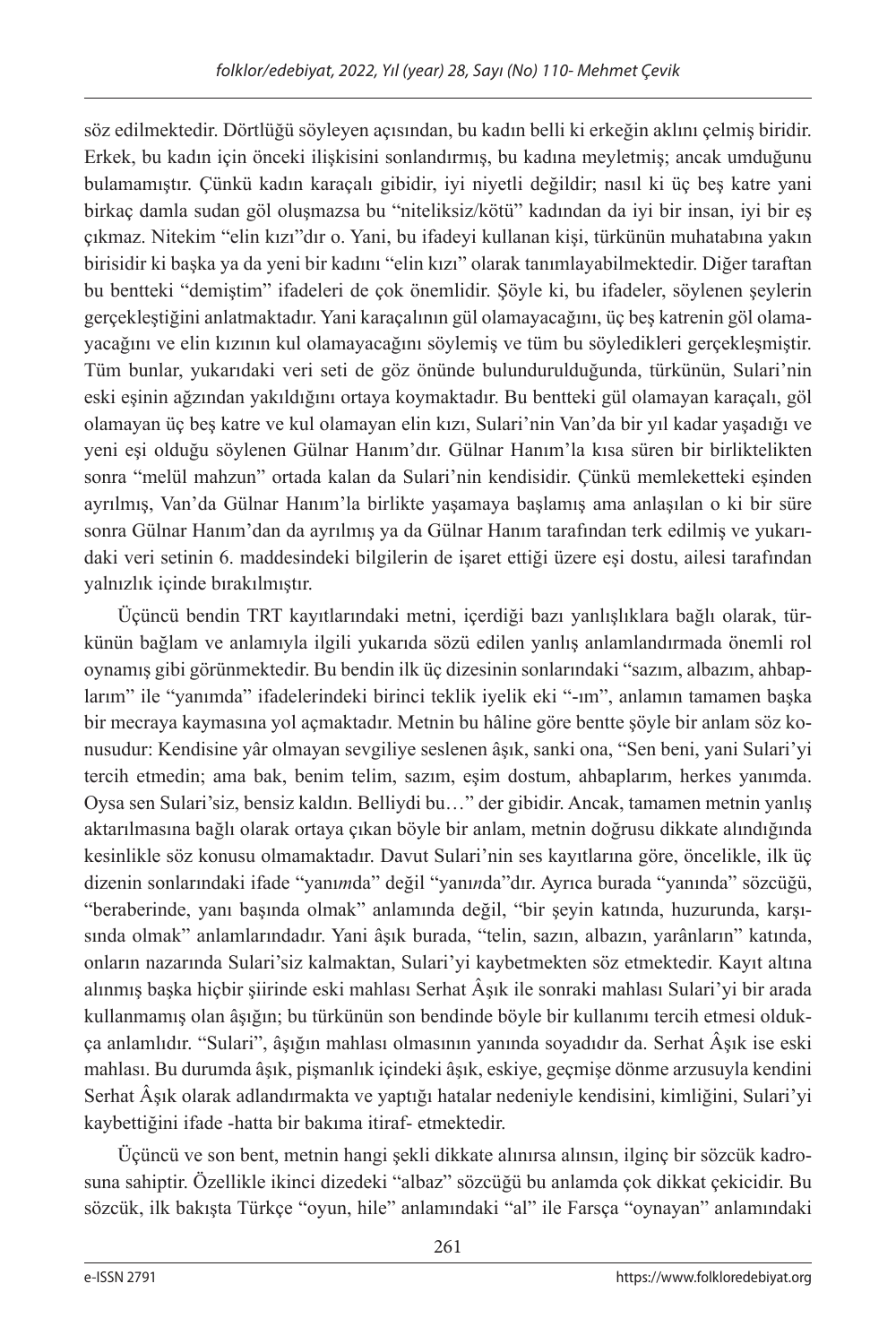söz edilmektedir. Dörtlüğü söyleyen açısından, bu kadın belli ki erkeğin aklını çelmiş biridir. Erkek, bu kadın için önceki ilişkisini sonlandırmış, bu kadına meyletmiş; ancak umduğunu bulamamıştır. Çünkü kadın karaçalı gibidir, iyi niyetli değildir; nasıl ki üç beş katre yani birkaç damla sudan göl oluşmazsa bu "niteliksiz/kötü" kadından da iyi bir insan, iyi bir eş çıkmaz. Nitekim "elin kızı"dır o. Yani, bu ifadeyi kullanan kişi, türkünün muhatabına yakın birisidir ki başka ya da yeni bir kadını "elin kızı" olarak tanımlayabilmektedir. Diğer taraftan bu bentteki "demiştim" ifadeleri de çok önemlidir. Şöyle ki, bu ifadeler, söylenen şeylerin gerçekleştiğini anlatmaktadır. Yani karaçalının gül olamayacağını, üç beş katrenin göl olamayacağını ve elin kızının kul olamayacağını söylemiş ve tüm bu söyledikleri gerçekleşmiştir. Tüm bunlar, yukarıdaki veri seti de göz önünde bulundurulduğunda, türkünün, Sulari'nin eski eşinin ağzından yakıldığını ortaya koymaktadır. Bu bentteki gül olamayan karaçalı, göl olamayan üç beş katre ve kul olamayan elin kızı, Sulari'nin Van'da bir yıl kadar yaşadığı ve yeni eşi olduğu söylenen Gülnar Hanım'dır. Gülnar Hanım'la kısa süren bir birliktelikten sonra "melül mahzun" ortada kalan da Sulari'nin kendisidir. Çünkü memleketteki eşinden ayrılmış, Van'da Gülnar Hanım'la birlikte yaşamaya başlamış ama anlaşılan o ki bir süre sonra Gülnar Hanım'dan da ayrılmış ya da Gülnar Hanım tarafından terk edilmiş ve yukarıdaki veri setinin 6. maddesindeki bilgilerin de işaret ettiği üzere eşi dostu, ailesi tarafından yalnızlık içinde bırakılmıştır.

Üçüncü bendin TRT kayıtlarındaki metni, içerdiği bazı yanlışlıklara bağlı olarak, türkünün bağlam ve anlamıyla ilgili yukarıda sözü edilen yanlış anlamlandırmada önemli rol oynamış gibi görünmektedir. Bu bendin ilk üç dizesinin sonlarındaki "sazım, albazım, ahbaplarım" ile "yanımda" ifadelerindeki birinci teklik iyelik eki "-ım", anlamın tamamen başka bir mecraya kaymasına yol açmaktadır. Metnin bu hâline göre bentte şöyle bir anlam söz konusudur: Kendisine yâr olmayan sevgiliye seslenen âşık, sanki ona, "Sen beni, yani Sulari'yi tercih etmedin; ama bak, benim telim, sazım, eşim dostum, ahbaplarım, herkes yanımda. Oysa sen Sulari'siz, bensiz kaldın. Belliydi bu…" der gibidir. Ancak, tamamen metnin yanlış aktarılmasına bağlı olarak ortaya çıkan böyle bir anlam, metnin doğrusu dikkate alındığında kesinlikle söz konusu olmamaktadır. Davut Sulari'nin ses kayıtlarına göre, öncelikle, ilk üç dizenin sonlarındaki ifade "yanı*m*da" değil "yanı*n*da"dır. Ayrıca burada "yanında" sözcüğü, "beraberinde, yanı başında olmak" anlamında değil, "bir şeyin katında, huzurunda, karşısında olmak" anlamlarındadır. Yani âşık burada, "telin, sazın, albazın, yarânların" katında, onların nazarında Sulari'siz kalmaktan, Sulari'yi kaybetmekten söz etmektedir. Kayıt altına alınmış başka hiçbir şiirinde eski mahlası Serhat Âşık ile sonraki mahlası Sulari'yi bir arada kullanmamış olan âşığın; bu türkünün son bendinde böyle bir kullanımı tercih etmesi oldukça anlamlıdır. "Sulari", âşığın mahlası olmasının yanında soyadıdır da. Serhat Âşık ise eski mahlası. Bu durumda âşık, pişmanlık içindeki âşık, eskiye, geçmişe dönme arzusuyla kendini Serhat Âşık olarak adlandırmakta ve yaptığı hatalar nedeniyle kendisini, kimliğini, Sulari'yi kaybettiğini ifade -hatta bir bakıma itiraf- etmektedir.

Üçüncü ve son bent, metnin hangi şekli dikkate alınırsa alınsın, ilginç bir sözcük kadrosuna sahiptir. Özellikle ikinci dizedeki "albaz" sözcüğü bu anlamda çok dikkat çekicidir. Bu sözcük, ilk bakışta Türkçe "oyun, hile" anlamındaki "al" ile Farsça "oynayan" anlamındaki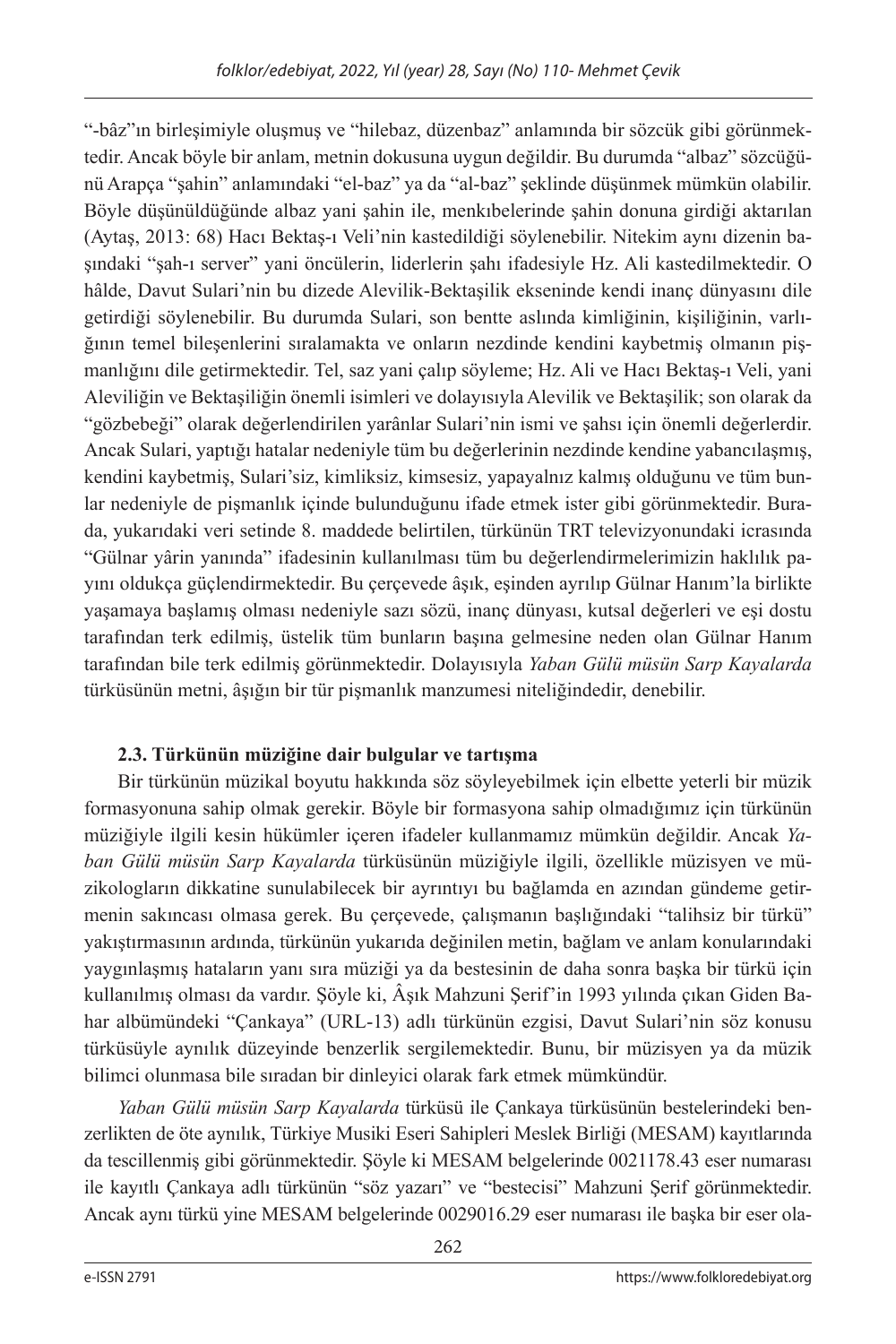"-bâz"ın birleşimiyle oluşmuş ve "hilebaz, düzenbaz" anlamında bir sözcük gibi görünmektedir. Ancak böyle bir anlam, metnin dokusuna uygun değildir. Bu durumda "albaz" sözcüğünü Arapça "şahin" anlamındaki "el-baz" ya da "al-baz" şeklinde düşünmek mümkün olabilir. Böyle düşünüldüğünde albaz yani şahin ile, menkıbelerinde şahin donuna girdiği aktarılan (Aytaş, 2013: 68) Hacı Bektaş-ı Veli'nin kastedildiği söylenebilir. Nitekim aynı dizenin başındaki "şah-ı server" yani öncülerin, liderlerin şahı ifadesiyle Hz. Ali kastedilmektedir. O hâlde, Davut Sulari'nin bu dizede Alevilik-Bektaşilik ekseninde kendi inanç dünyasını dile getirdiği söylenebilir. Bu durumda Sulari, son bentte aslında kimliğinin, kişiliğinin, varlığının temel bileşenlerini sıralamakta ve onların nezdinde kendini kaybetmiş olmanın pişmanlığını dile getirmektedir. Tel, saz yani çalıp söyleme; Hz. Ali ve Hacı Bektaş-ı Veli, yani Aleviliğin ve Bektaşiliğin önemli isimleri ve dolayısıyla Alevilik ve Bektaşilik; son olarak da "gözbebeği" olarak değerlendirilen yarânlar Sulari'nin ismi ve şahsı için önemli değerlerdir. Ancak Sulari, yaptığı hatalar nedeniyle tüm bu değerlerinin nezdinde kendine yabancılaşmış, kendini kaybetmiş, Sulari'siz, kimliksiz, kimsesiz, yapayalnız kalmış olduğunu ve tüm bunlar nedeniyle de pişmanlık içinde bulunduğunu ifade etmek ister gibi görünmektedir. Burada, yukarıdaki veri setinde 8. maddede belirtilen, türkünün TRT televizyonundaki icrasında "Gülnar yârin yanında" ifadesinin kullanılması tüm bu değerlendirmelerimizin haklılık payını oldukça güçlendirmektedir. Bu çerçevede âşık, eşinden ayrılıp Gülnar Hanım'la birlikte yaşamaya başlamış olması nedeniyle sazı sözü, inanç dünyası, kutsal değerleri ve eşi dostu tarafından terk edilmiş, üstelik tüm bunların başına gelmesine neden olan Gülnar Hanım tarafından bile terk edilmiş görünmektedir. Dolayısıyla *Yaban Gülü müsün Sarp Kayalarda* türküsünün metni, âşığın bir tür pişmanlık manzumesi niteliğindedir, denebilir.

## **2.3. Türkünün müziğine dair bulgular ve tartışma**

Bir türkünün müzikal boyutu hakkında söz söyleyebilmek için elbette yeterli bir müzik formasyonuna sahip olmak gerekir. Böyle bir formasyona sahip olmadığımız için türkünün müziğiyle ilgili kesin hükümler içeren ifadeler kullanmamız mümkün değildir. Ancak *Yaban Gülü müsün Sarp Kayalarda* türküsünün müziğiyle ilgili, özellikle müzisyen ve müzikologların dikkatine sunulabilecek bir ayrıntıyı bu bağlamda en azından gündeme getirmenin sakıncası olmasa gerek. Bu çerçevede, çalışmanın başlığındaki "talihsiz bir türkü" yakıştırmasının ardında, türkünün yukarıda değinilen metin, bağlam ve anlam konularındaki yaygınlaşmış hataların yanı sıra müziği ya da bestesinin de daha sonra başka bir türkü için kullanılmış olması da vardır. Şöyle ki, Âşık Mahzuni Şerif'in 1993 yılında çıkan Giden Bahar albümündeki "Çankaya" (URL-13) adlı türkünün ezgisi, Davut Sulari'nin söz konusu türküsüyle aynılık düzeyinde benzerlik sergilemektedir. Bunu, bir müzisyen ya da müzik bilimci olunmasa bile sıradan bir dinleyici olarak fark etmek mümkündür.

*Yaban Gülü müsün Sarp Kayalarda* türküsü ile Çankaya türküsünün bestelerindeki benzerlikten de öte aynılık, Türkiye Musiki Eseri Sahipleri Meslek Birliği (MESAM) kayıtlarında da tescillenmiş gibi görünmektedir. Şöyle ki MESAM belgelerinde 0021178.43 eser numarası ile kayıtlı Çankaya adlı türkünün "söz yazarı" ve "bestecisi" Mahzuni Şerif görünmektedir. Ancak aynı türkü yine MESAM belgelerinde 0029016.29 eser numarası ile başka bir eser ola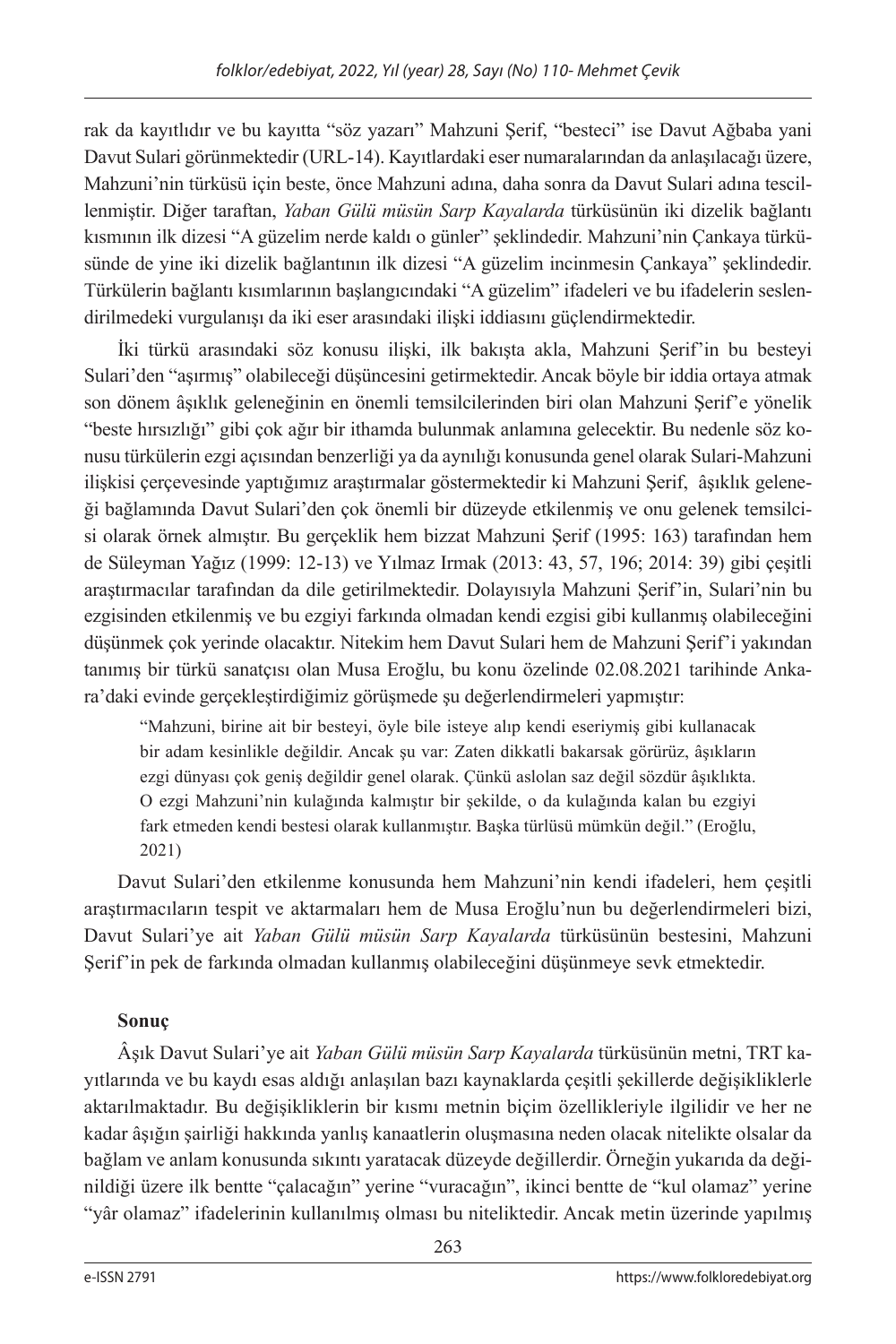rak da kayıtlıdır ve bu kayıtta "söz yazarı" Mahzuni Şerif, "besteci" ise Davut Ağbaba yani Davut Sulari görünmektedir (URL-14). Kayıtlardaki eser numaralarından da anlaşılacağı üzere, Mahzuni'nin türküsü için beste, önce Mahzuni adına, daha sonra da Davut Sulari adına tescillenmiştir. Diğer taraftan, *Yaban Gülü müsün Sarp Kayalarda* türküsünün iki dizelik bağlantı kısmının ilk dizesi "A güzelim nerde kaldı o günler" şeklindedir. Mahzuni'nin Çankaya türküsünde de yine iki dizelik bağlantının ilk dizesi "A güzelim incinmesin Çankaya" şeklindedir. Türkülerin bağlantı kısımlarının başlangıcındaki "A güzelim" ifadeleri ve bu ifadelerin seslendirilmedeki vurgulanışı da iki eser arasındaki ilişki iddiasını güçlendirmektedir.

İki türkü arasındaki söz konusu ilişki, ilk bakışta akla, Mahzuni Şerif'in bu besteyi Sulari'den "aşırmış" olabileceği düşüncesini getirmektedir. Ancak böyle bir iddia ortaya atmak son dönem âşıklık geleneğinin en önemli temsilcilerinden biri olan Mahzuni Şerif'e yönelik "beste hırsızlığı" gibi çok ağır bir ithamda bulunmak anlamına gelecektir. Bu nedenle söz konusu türkülerin ezgi açısından benzerliği ya da aynılığı konusunda genel olarak Sulari-Mahzuni ilişkisi çerçevesinde yaptığımız araştırmalar göstermektedir ki Mahzuni Şerif, âşıklık geleneği bağlamında Davut Sulari'den çok önemli bir düzeyde etkilenmiş ve onu gelenek temsilcisi olarak örnek almıştır. Bu gerçeklik hem bizzat Mahzuni Şerif (1995: 163) tarafından hem de Süleyman Yağız (1999: 12-13) ve Yılmaz Irmak (2013: 43, 57, 196; 2014: 39) gibi çeşitli araştırmacılar tarafından da dile getirilmektedir. Dolayısıyla Mahzuni Şerif'in, Sulari'nin bu ezgisinden etkilenmiş ve bu ezgiyi farkında olmadan kendi ezgisi gibi kullanmış olabileceğini düşünmek çok yerinde olacaktır. Nitekim hem Davut Sulari hem de Mahzuni Şerif'i yakından tanımış bir türkü sanatçısı olan Musa Eroğlu, bu konu özelinde 02.08.2021 tarihinde Ankara'daki evinde gerçekleştirdiğimiz görüşmede şu değerlendirmeleri yapmıştır:

"Mahzuni, birine ait bir besteyi, öyle bile isteye alıp kendi eseriymiş gibi kullanacak bir adam kesinlikle değildir. Ancak şu var: Zaten dikkatli bakarsak görürüz, âşıkların ezgi dünyası çok geniş değildir genel olarak. Çünkü aslolan saz değil sözdür âşıklıkta. O ezgi Mahzuni'nin kulağında kalmıştır bir şekilde, o da kulağında kalan bu ezgiyi fark etmeden kendi bestesi olarak kullanmıştır. Başka türlüsü mümkün değil." (Eroğlu, 2021)

Davut Sulari'den etkilenme konusunda hem Mahzuni'nin kendi ifadeleri, hem çeşitli araştırmacıların tespit ve aktarmaları hem de Musa Eroğlu'nun bu değerlendirmeleri bizi, Davut Sulari'ye ait *Yaban Gülü müsün Sarp Kayalarda* türküsünün bestesini, Mahzuni Şerif'in pek de farkında olmadan kullanmış olabileceğini düşünmeye sevk etmektedir.

## **Sonuç**

Âşık Davut Sulari'ye ait *Yaban Gülü müsün Sarp Kayalarda* türküsünün metni, TRT kayıtlarında ve bu kaydı esas aldığı anlaşılan bazı kaynaklarda çeşitli şekillerde değişikliklerle aktarılmaktadır. Bu değişikliklerin bir kısmı metnin biçim özellikleriyle ilgilidir ve her ne kadar âşığın şairliği hakkında yanlış kanaatlerin oluşmasına neden olacak nitelikte olsalar da bağlam ve anlam konusunda sıkıntı yaratacak düzeyde değillerdir. Örneğin yukarıda da değinildiği üzere ilk bentte "çalacağın" yerine "vuracağın", ikinci bentte de "kul olamaz" yerine "yâr olamaz" ifadelerinin kullanılmış olması bu niteliktedir. Ancak metin üzerinde yapılmış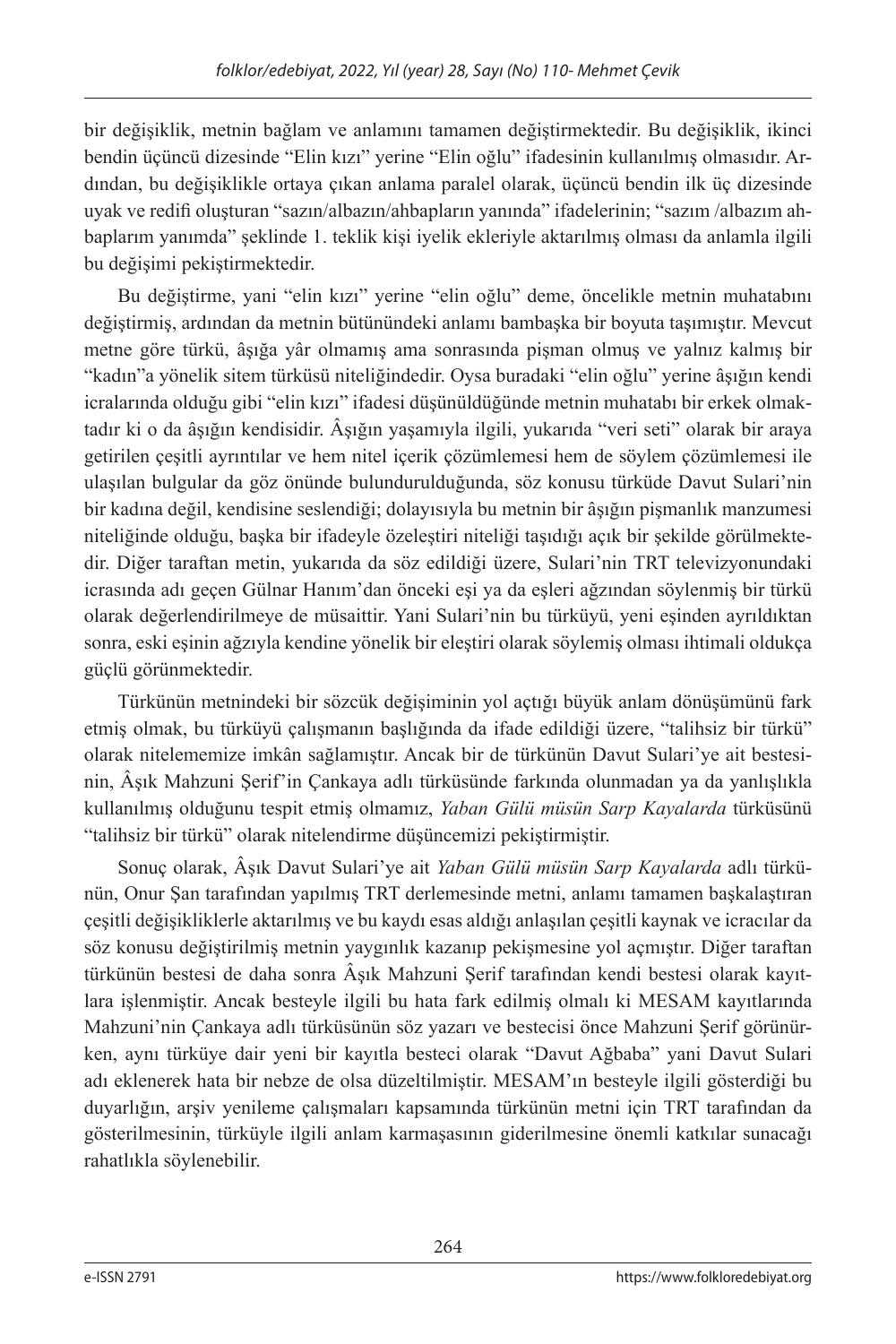bir değişiklik, metnin bağlam ve anlamını tamamen değiştirmektedir. Bu değişiklik, ikinci bendin üçüncü dizesinde "Elin kızı" yerine "Elin oğlu" ifadesinin kullanılmış olmasıdır. Ardından, bu değişiklikle ortaya çıkan anlama paralel olarak, üçüncü bendin ilk üç dizesinde uyak ve redifi oluşturan "sazın/albazın/ahbapların yanında" ifadelerinin; "sazım /albazım ahbaplarım yanımda" şeklinde 1. teklik kişi iyelik ekleriyle aktarılmış olması da anlamla ilgili bu değişimi pekiştirmektedir.

Bu değiştirme, yani "elin kızı" yerine "elin oğlu" deme, öncelikle metnin muhatabını değiştirmiş, ardından da metnin bütünündeki anlamı bambaşka bir boyuta taşımıştır. Mevcut metne göre türkü, âşığa yâr olmamış ama sonrasında pişman olmuş ve yalnız kalmış bir "kadın"a yönelik sitem türküsü niteliğindedir. Oysa buradaki "elin oğlu" yerine âşığın kendi icralarında olduğu gibi "elin kızı" ifadesi düşünüldüğünde metnin muhatabı bir erkek olmaktadır ki o da âşığın kendisidir. Âşığın yaşamıyla ilgili, yukarıda "veri seti" olarak bir araya getirilen çeşitli ayrıntılar ve hem nitel içerik çözümlemesi hem de söylem çözümlemesi ile ulaşılan bulgular da göz önünde bulundurulduğunda, söz konusu türküde Davut Sulari'nin bir kadına değil, kendisine seslendiği; dolayısıyla bu metnin bir âşığın pişmanlık manzumesi niteliğinde olduğu, başka bir ifadeyle özeleştiri niteliği taşıdığı açık bir şekilde görülmektedir. Diğer taraftan metin, yukarıda da söz edildiği üzere, Sulari'nin TRT televizyonundaki icrasında adı geçen Gülnar Hanım'dan önceki eşi ya da eşleri ağzından söylenmiş bir türkü olarak değerlendirilmeye de müsaittir. Yani Sulari'nin bu türküyü, yeni eşinden ayrıldıktan sonra, eski eşinin ağzıyla kendine yönelik bir eleştiri olarak söylemiş olması ihtimali oldukça güçlü görünmektedir.

Türkünün metnindeki bir sözcük değişiminin yol açtığı büyük anlam dönüşümünü fark etmiş olmak, bu türküyü çalışmanın başlığında da ifade edildiği üzere, "talihsiz bir türkü" olarak nitelememize imkân sağlamıştır. Ancak bir de türkünün Davut Sulari'ye ait bestesinin, Âşık Mahzuni Şerif'in Çankaya adlı türküsünde farkında olunmadan ya da yanlışlıkla kullanılmış olduğunu tespit etmiş olmamız, *Yaban Gülü müsün Sarp Kayalarda* türküsünü "talihsiz bir türkü" olarak nitelendirme düşüncemizi pekiştirmiştir.

Sonuç olarak, Âşık Davut Sulari'ye ait *Yaban Gülü müsün Sarp Kayalarda* adlı türkünün, Onur Şan tarafından yapılmış TRT derlemesinde metni, anlamı tamamen başkalaştıran çeşitli değişikliklerle aktarılmış ve bu kaydı esas aldığı anlaşılan çeşitli kaynak ve icracılar da söz konusu değiştirilmiş metnin yaygınlık kazanıp pekişmesine yol açmıştır. Diğer taraftan türkünün bestesi de daha sonra Âşık Mahzuni Şerif tarafından kendi bestesi olarak kayıtlara işlenmiştir. Ancak besteyle ilgili bu hata fark edilmiş olmalı ki MESAM kayıtlarında Mahzuni'nin Çankaya adlı türküsünün söz yazarı ve bestecisi önce Mahzuni Şerif görünürken, aynı türküye dair yeni bir kayıtla besteci olarak "Davut Ağbaba" yani Davut Sulari adı eklenerek hata bir nebze de olsa düzeltilmiştir. MESAM'ın besteyle ilgili gösterdiği bu duyarlığın, arşiv yenileme çalışmaları kapsamında türkünün metni için TRT tarafından da gösterilmesinin, türküyle ilgili anlam karmaşasının giderilmesine önemli katkılar sunacağı rahatlıkla söylenebilir.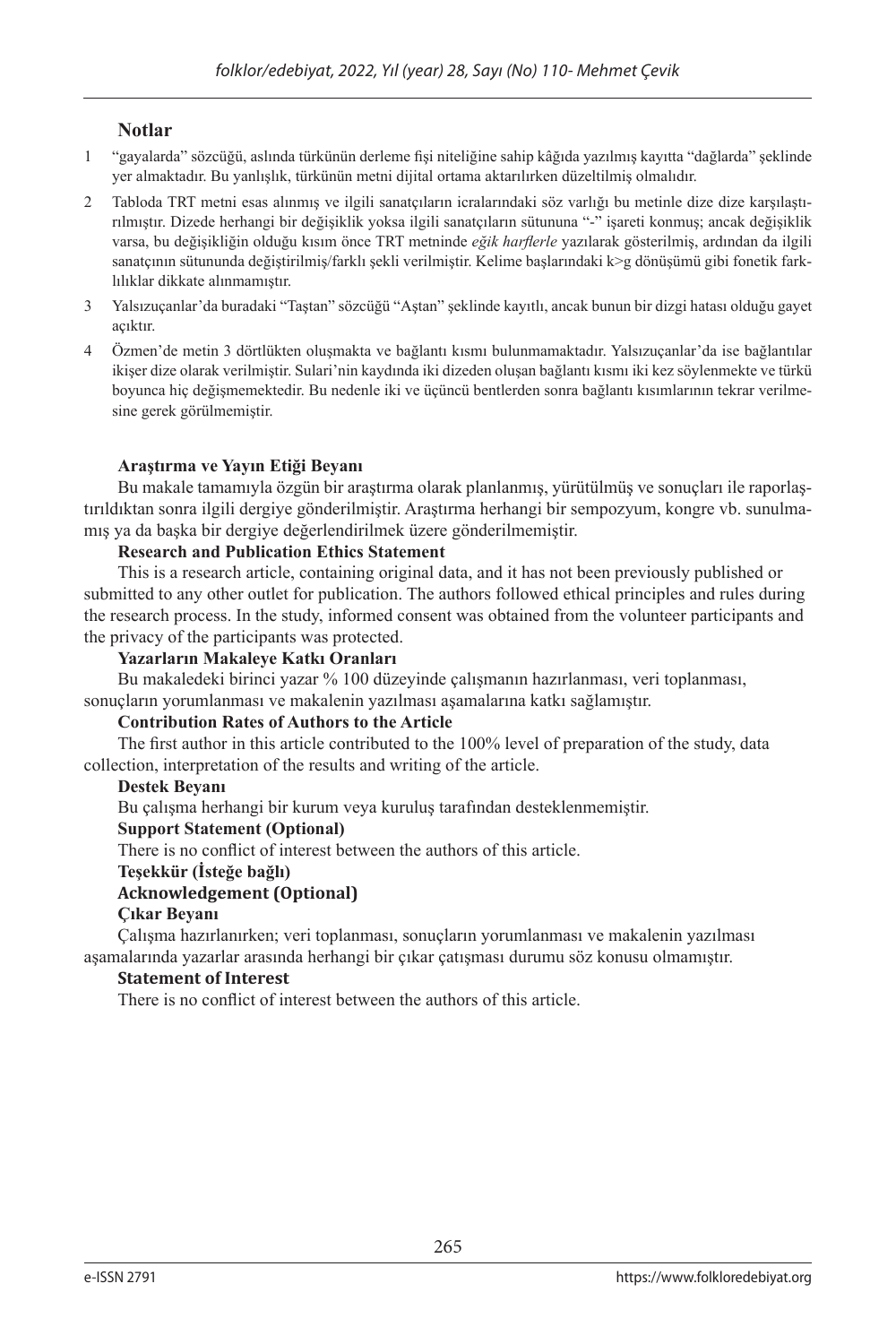#### **Notlar**

- 1 "gayalarda" sözcüğü, aslında türkünün derleme fişi niteliğine sahip kâğıda yazılmış kayıtta "dağlarda" şeklinde yer almaktadır. Bu yanlışlık, türkünün metni dijital ortama aktarılırken düzeltilmiş olmalıdır.
- 2 Tabloda TRT metni esas alınmış ve ilgili sanatçıların icralarındaki söz varlığı bu metinle dize dize karşılaştırılmıştır. Dizede herhangi bir değişiklik yoksa ilgili sanatçıların sütununa "-" işareti konmuş; ancak değişiklik varsa, bu değişikliğin olduğu kısım önce TRT metninde *eğik harflerle* yazılarak gösterilmiş, ardından da ilgili sanatçının sütununda değiştirilmiş/farklı şekli verilmiştir. Kelime başlarındaki k>g dönüşümü gibi fonetik farklılıklar dikkate alınmamıştır.
- 3 Yalsızuçanlar'da buradaki "Taştan" sözcüğü "Aştan" şeklinde kayıtlı, ancak bunun bir dizgi hatası olduğu gayet açıktır.
- 4 Özmen'de metin 3 dörtlükten oluşmakta ve bağlantı kısmı bulunmamaktadır. Yalsızuçanlar'da ise bağlantılar ikişer dize olarak verilmiştir. Sulari'nin kaydında iki dizeden oluşan bağlantı kısmı iki kez söylenmekte ve türkü boyunca hiç değişmemektedir. Bu nedenle iki ve üçüncü bentlerden sonra bağlantı kısımlarının tekrar verilmesine gerek görülmemiştir.

#### **Araştırma ve Yayın Etiği Beyanı**

Bu makale tamamıyla özgün bir araştırma olarak planlanmış, yürütülmüş ve sonuçları ile raporlaştırıldıktan sonra ilgili dergiye gönderilmiştir. Araştırma herhangi bir sempozyum, kongre vb. sunulmamış ya da başka bir dergiye değerlendirilmek üzere gönderilmemiştir.

#### **Research and Publication Ethics Statement**

This is a research article, containing original data, and it has not been previously published or submitted to any other outlet for publication. The authors followed ethical principles and rules during the research process. In the study, informed consent was obtained from the volunteer participants and the privacy of the participants was protected.

#### **Yazarların Makaleye Katkı Oranları**

Bu makaledeki birinci yazar % 100 düzeyinde çalışmanın hazırlanması, veri toplanması, sonuçların yorumlanması ve makalenin yazılması aşamalarına katkı sağlamıştır.

#### **Contribution Rates of Authors to the Article**

The first author in this article contributed to the 100% level of preparation of the study, data collection, interpretation of the results and writing of the article.

#### **Destek Beyanı**

Bu çalışma herhangi bir kurum veya kuruluş tarafından desteklenmemiştir.

#### **Support Statement (Optional)**

There is no conflict of interest between the authors of this article.

#### **Teşekkür (İsteğe bağlı)**

#### **Acknowledgement (Optional)**

#### **Çıkar Beyanı**

Çalışma hazırlanırken; veri toplanması, sonuçların yorumlanması ve makalenin yazılması aşamalarında yazarlar arasında herhangi bir çıkar çatışması durumu söz konusu olmamıştır.

#### **Statement of Interest**

There is no conflict of interest between the authors of this article.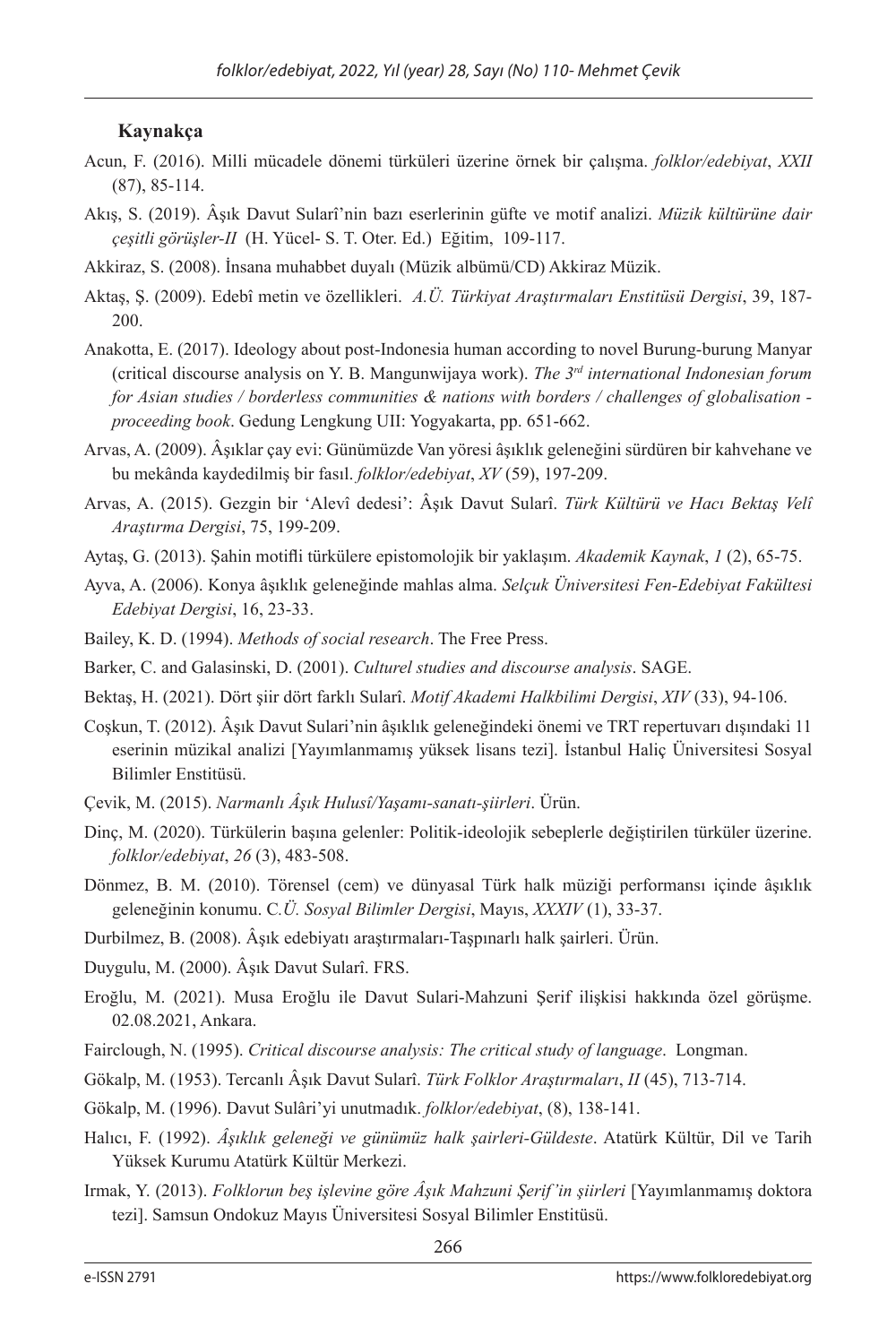#### **Kaynakça**

- Acun, F. (2016). Milli mücadele dönemi türküleri üzerine örnek bir çalışma. *folklor/edebiyat*, *XXII* (87), 85-114.
- Akış, S. (2019). Âşık Davut Sularî'nin bazı eserlerinin güfte ve motif analizi. *Müzik kültürüne dair çeşitli görüşler-II* (H. Yücel- S. T. Oter. Ed.) Eğitim, 109-117.
- Akkiraz, S. (2008). İnsana muhabbet duyalı (Müzik albümü/CD) Akkiraz Müzik.
- Aktaş, Ş. (2009). Edebî metin ve özellikleri. *A.Ü. Türkiyat Araştırmaları Enstitüsü Dergisi*, 39, 187- 200.
- Anakotta, E. (2017). Ideology about post-Indonesia human according to novel Burung-burung Manyar (critical discourse analysis on Y. B. Mangunwijaya work). *The 3rd international Indonesian forum for Asian studies / borderless communities & nations with borders / challenges of globalisation proceeding book*. Gedung Lengkung UII: Yogyakarta, pp. 651-662.
- Arvas, A. (2009). Âşıklar çay evi: Günümüzde Van yöresi âşıklık geleneğini sürdüren bir kahvehane ve bu mekânda kaydedilmiş bir fasıl. *folklor/edebiyat*, *XV* (59), 197-209.
- Arvas, A. (2015). Gezgin bir 'Alevî dedesi': Âşık Davut Sularî. *Türk Kültürü ve Hacı Bektaş Velî Araştırma Dergisi*, 75, 199-209.
- Aytaş, G. (2013). Şahin motifli türkülere epistomolojik bir yaklaşım. *Akademik Kaynak*, *1* (2), 65-75.
- Ayva, A. (2006). Konya âşıklık geleneğinde mahlas alma. *Selçuk Üniversitesi Fen-Edebiyat Fakültesi Edebiyat Dergisi*, 16, 23-33.
- Bailey, K. D. (1994). *Methods of social research*. The Free Press.
- Barker, C. and Galasinski, D. (2001). *Culturel studies and discourse analysis*. SAGE.
- Bektaş, H. (2021). Dört şiir dört farklı Sularî. *Motif Akademi Halkbilimi Dergisi*, *XIV* (33), 94-106.
- Coşkun, T. (2012). Âşık Davut Sulari'nin âşıklık geleneğindeki önemi ve TRT repertuvarı dışındaki 11 eserinin müzikal analizi [Yayımlanmamış yüksek lisans tezi]. İstanbul Haliç Üniversitesi Sosyal Bilimler Enstitüsü.
- Çevik, M. (2015). *Narmanlı Âşık Hulusî/Yaşamı-sanatı-şiirleri*. Ürün.
- Dinç, M. (2020). Türkülerin başına gelenler: Politik-ideolojik sebeplerle değiştirilen türküler üzerine. *folklor/edebiyat*, *26* (3), 483-508.
- Dönmez, B. M. (2010). Törensel (cem) ve dünyasal Türk halk müziği performansı içinde âşıklık geleneğinin konumu. C*.Ü. Sosyal Bilimler Dergisi*, Mayıs, *XXXIV* (1), 33-37.
- Durbilmez, B. (2008). Âşık edebiyatı araştırmaları-Taşpınarlı halk şairleri. Ürün.
- Duygulu, M. (2000). Âşık Davut Sularî. FRS.
- Eroğlu, M. (2021). Musa Eroğlu ile Davut Sulari-Mahzuni Şerif ilişkisi hakkında özel görüşme. 02.08.2021, Ankara.
- Fairclough, N. (1995). *Critical discourse analysis: The critical study of language*. Longman.
- Gökalp, M. (1953). Tercanlı Âşık Davut Sularî. *Türk Folklor Araştırmaları*, *II* (45), 713-714.
- Gökalp, M. (1996). Davut Sulâri'yi unutmadık. *folklor/edebiyat*, (8), 138-141.
- Halıcı, F. (1992). *Âşıklık geleneği ve günümüz halk şairleri-Güldeste*. Atatürk Kültür, Dil ve Tarih Yüksek Kurumu Atatürk Kültür Merkezi.
- Irmak, Y. (2013). *Folklorun beş işlevine göre Âşık Mahzuni Şerif'in şiirleri* [Yayımlanmamış doktora tezi]. Samsun Ondokuz Mayıs Üniversitesi Sosyal Bilimler Enstitüsü.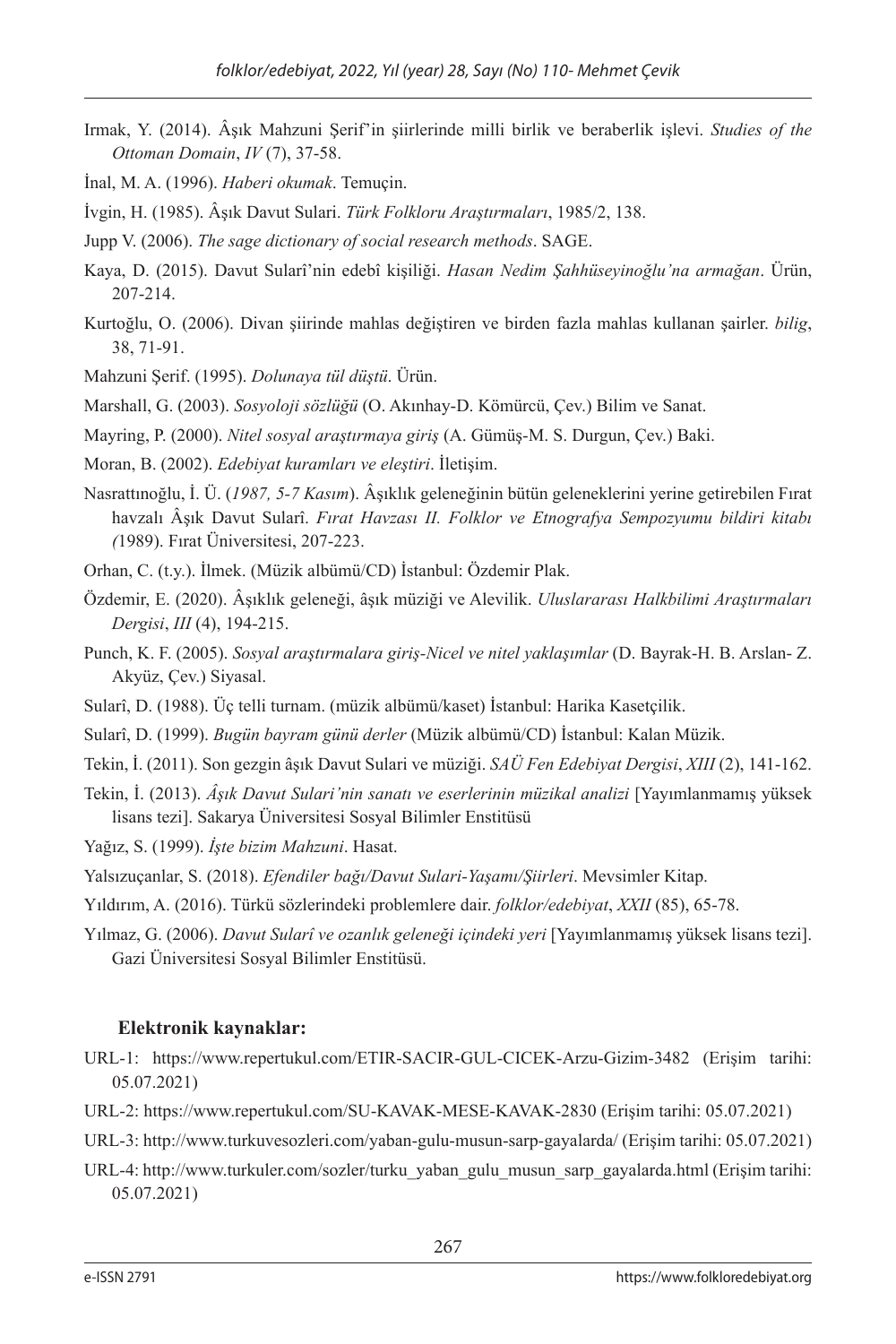- Irmak, Y. (2014). Âşık Mahzuni Şerif'in şiirlerinde milli birlik ve beraberlik işlevi. *Studies of the Ottoman Domain*, *IV* (7), 37-58.
- İnal, M. A. (1996). *Haberi okumak*. Temuçin.
- İvgin, H. (1985). Âşık Davut Sulari. *Türk Folkloru Araştırmaları*, 1985/2, 138.
- Jupp V. (2006). *The sage dictionary of social research methods*. SAGE.
- Kaya, D. (2015). Davut Sularî'nin edebî kişiliği. *Hasan Nedim Şahhüseyinoğlu'na armağan*. Ürün, 207-214.
- Kurtoğlu, O. (2006). Divan şiirinde mahlas değiştiren ve birden fazla mahlas kullanan şairler. *bilig*, 38, 71-91.
- Mahzuni Şerif. (1995). *Dolunaya tül düştü*. Ürün.

Marshall, G. (2003). *Sosyoloji sözlüğü* (O. Akınhay-D. Kömürcü, Çev.) Bilim ve Sanat.

- Mayring, P. (2000). *Nitel sosyal araştırmaya giriş* (A. Gümüş-M. S. Durgun, Çev.) Baki.
- Moran, B. (2002). *Edebiyat kuramları ve eleştiri*. İletişim.
- Nasrattınoğlu, İ. Ü. (*1987, 5-7 Kasım*). Âşıklık geleneğinin bütün geleneklerini yerine getirebilen Fırat havzalı Âşık Davut Sularî. *Fırat Havzası II. Folklor ve Etnografya Sempozyumu bildiri kitabı (*1989). Fırat Üniversitesi, 207-223.
- Orhan, C. (t.y.). İlmek. (Müzik albümü/CD) İstanbul: Özdemir Plak.
- Özdemir, E. (2020). Âşıklık geleneği, âşık müziği ve Alevilik. *Uluslararası Halkbilimi Araştırmaları Dergisi*, *III* (4), 194-215.
- Punch, K. F. (2005). *Sosyal araştırmalara giriş-Nicel ve nitel yaklaşımlar* (D. Bayrak-H. B. Arslan- Z. Akyüz, Çev.) Siyasal.
- Sularî, D. (1988). Üç telli turnam. (müzik albümü/kaset) İstanbul: Harika Kasetçilik.
- Sularî, D. (1999). *Bugün bayram günü derler* (Müzik albümü/CD) İstanbul: Kalan Müzik.
- Tekin, İ. (2011). Son gezgin âşık Davut Sulari ve müziği. *SAÜ Fen Edebiyat Dergisi*, *XIII* (2), 141-162.
- Tekin, İ. (2013). *Âşık Davut Sulari'nin sanatı ve eserlerinin müzikal analizi* [Yayımlanmamış yüksek lisans tezi]. Sakarya Üniversitesi Sosyal Bilimler Enstitüsü

Yağız, S. (1999). *İşte bizim Mahzuni*. Hasat.

- Yalsızuçanlar, S. (2018). *Efendiler bağı/Davut Sulari-Yaşamı/Şiirleri*. Mevsimler Kitap.
- Yıldırım, A. (2016). Türkü sözlerindeki problemlere dair. *folklor/edebiyat*, *XXII* (85), 65-78.
- Yılmaz, G. (2006). *Davut Sularî ve ozanlık geleneği içindeki yeri* [Yayımlanmamış yüksek lisans tezi]. Gazi Üniversitesi Sosyal Bilimler Enstitüsü.

#### **Elektronik kaynaklar:**

- URL-1: https://www.repertukul.com/ETIR-SACIR-GUL-CICEK-Arzu-Gizim-3482 (Erişim tarihi: 05.07.2021)
- URL-2: https://www.repertukul.com/SU-KAVAK-MESE-KAVAK-2830 (Erişim tarihi: 05.07.2021)
- URL-3: http://www.turkuvesozleri.com/yaban-gulu-musun-sarp-gayalarda/ (Erişim tarihi: 05.07.2021)
- URL-4: http://www.turkuler.com/sozler/turku\_yaban\_gulu\_musun\_sarp\_gayalarda.html (Erişim tarihi: 05.07.2021)